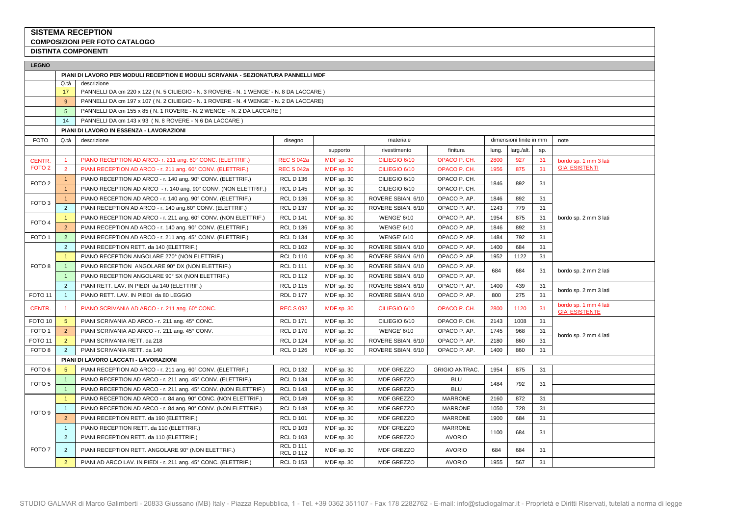## **SISTEMA RECEPTION**

**COMPOSIZIONI PER FOTO CATALOGO**

**DISTINTA COMPONENTI** 

| <b>LEGNO</b>       |                |                                                                                        |                                      |            |                    |                       |       |                         |     |                                                |
|--------------------|----------------|----------------------------------------------------------------------------------------|--------------------------------------|------------|--------------------|-----------------------|-------|-------------------------|-----|------------------------------------------------|
|                    |                | PIANI DI LAVORO PER MODULI RECEPTION E MODULI SCRIVANIA - SEZIONATURA PANNELLI MDF     |                                      |            |                    |                       |       |                         |     |                                                |
|                    | Q.tà           | descrizione                                                                            |                                      |            |                    |                       |       |                         |     |                                                |
|                    | 17             | PANNELLI DA cm 220 x 122 (N. 5 CILIEGIO - N. 3 ROVERE - N. 1 WENGE' - N. 8 DA LACCARE) |                                      |            |                    |                       |       |                         |     |                                                |
|                    | 9              | PANNELLI DA cm 197 x 107 (N. 2 CILIEGIO - N. 1 ROVERE - N. 4 WENGE' - N. 2 DA LACCARE) |                                      |            |                    |                       |       |                         |     |                                                |
|                    | 5              | PANNELLI DA cm 155 x 85 (N. 1 ROVERE - N. 2 WENGE' - N. 2 DA LACCARE)                  |                                      |            |                    |                       |       |                         |     |                                                |
|                    | 14             | PANNELLI DA cm 143 x 93 (N. 8 ROVERE - N 6 DA LACCARE)                                 |                                      |            |                    |                       |       |                         |     |                                                |
|                    |                | PIANI DI LAVORO IN ESSENZA - LAVORAZIONI                                               |                                      |            |                    |                       |       |                         |     |                                                |
| <b>FOTO</b>        | Q.tà           | descrizione                                                                            | disegno                              |            | materiale          |                       |       | dimensioni finite in mm |     | note                                           |
|                    |                |                                                                                        |                                      | supporto   | rivestimento       | finitura              | lung. | larg./alt.              | sp. |                                                |
| CENTR.             |                | PIANO RECEPTION AD ARCO- r. 211 ang. 60° CONC. (ELETTRIF.)                             | <b>REC S 042a</b>                    | MDF sp. 30 | CILIEGIO 6/10      | OPACO P. CH.          | 2800  | 927                     | 31  | bordo sp. 1 mm 3 lati                          |
| FOTO <sub>2</sub>  | $\overline{2}$ | PIANI RECEPTION AD ARCO - r. 211 ang. 60° CONV. (ELETTRIF.)                            | <b>REC S 042a</b>                    | MDF sp. 30 | CILIEGIO 6/10      | OPACO P. CH.          | 1956  | 875                     | 31  | <b>GIA' ESISTENTI</b>                          |
| FOTO <sub>2</sub>  | $\mathbf{1}$   | PIANO RECEPTION AD ARCO - r. 140 ang. 90° CONV. (ELETTRIF.)                            | <b>RCL D 136</b>                     | MDF sp. 30 | CILIEGIO 6/10      | OPACO P. CH.          | 1846  | 892                     | 31  |                                                |
|                    | $\mathbf{1}$   | PIANO RECEPTION AD ARCO - r. 140 ang. 90° CONV. (NON ELETTRIF.)                        | <b>RCL D 145</b>                     | MDF sp. 30 | CILIEGIO 6/10      | OPACO P. CH.          |       |                         |     |                                                |
| FOTO <sub>3</sub>  | $\mathbf{1}$   | PIANO RECEPTION AD ARCO - r. 140 ang. 90° CONV. (ELETTRIF.)                            | <b>RCL D 136</b>                     | MDF sp. 30 | ROVERE SBIAN. 6/10 | OPACO P. AP.          | 1846  | 892                     | 31  |                                                |
|                    | 2              | PIANI RECEPTION AD ARCO - r. 140 ang.60° CONV. (ELETTRIF.)                             | <b>RCL D 137</b>                     | MDF sp. 30 | ROVERE SBIAN. 6/10 | OPACO P. AP.          | 1243  | 779                     | 31  |                                                |
| FOTO <sub>4</sub>  | $\mathbf{1}$   | PIANO RECEPTION AD ARCO - r. 211 ang. 60° CONV. (NON ELETTRIF.)                        | <b>RCL D 141</b>                     | MDF sp. 30 | <b>WENGE' 6/10</b> | OPACO P. AP.          | 1954  | 875                     | 31  | bordo sp. 2 mm 3 lati                          |
|                    | $\overline{2}$ | PIANI RECEPTION AD ARCO - r. 140 ang. 90° CONV. (ELETTRIF.)                            | <b>RCL D 136</b>                     | MDF sp. 30 | <b>WENGE' 6/10</b> | OPACO P. AP.          | 1846  | 892                     | 31  |                                                |
| FOTO <sub>1</sub>  | 2              | PIANI RECEPTION AD ARCO - r. 211 ang. 45° CONV. (ELETTRIF.)                            | <b>RCL D 134</b>                     | MDF sp. 30 | <b>WENGE' 6/10</b> | OPACO P. AP.          | 1484  | 792                     | 31  |                                                |
|                    | $\overline{2}$ | PIANI RECEPTION RETT. da 140 (ELETTRIF.)                                               | <b>RCL D 102</b>                     | MDF sp. 30 | ROVERE SBIAN. 6/10 | OPACO P. AP.          | 1400  | 684                     | 31  |                                                |
|                    | $\overline{1}$ | PIANO RECEPTION ANGOLARE 270° (NON ELETTRIF.)                                          | <b>RCL D 110</b>                     | MDF sp. 30 | ROVERE SBIAN. 6/10 | OPACO P. AP.          | 1952  | 1122                    | 31  |                                                |
| FOTO 8             |                | PIANO RECEPTION ANGOLARE 90° DX (NON ELETTRIF.)                                        | <b>RCL D 111</b>                     | MDF sp. 30 | ROVERE SBIAN. 6/10 | OPACO P. AP.          | 684   | 684                     | 31  | bordo sp. 2 mm 2 lati                          |
|                    | $\mathbf{1}$   | PIANO RECEPTION ANGOLARE 90° SX (NON ELETTRIF.)                                        | <b>RCL D 112</b>                     | MDF sp. 30 | ROVERE SBIAN. 6/10 | OPACO P. AP.          |       |                         |     |                                                |
|                    | $\overline{2}$ | PIANI RETT. LAV. IN PIEDI da 140 (ELETTRIF.)                                           | <b>RCL D 115</b>                     | MDF sp. 30 | ROVERE SBIAN. 6/10 | OPACO P. AP.          | 1400  | 439                     | 31  | bordo sp. 2 mm 3 lati                          |
| FOTO <sub>11</sub> | $\overline{1}$ | PIANO RETT. LAV. IN PIEDI da 80 LEGGIO                                                 | <b>RDL D 177</b>                     | MDF sp. 30 | ROVERE SBIAN. 6/10 | OPACO P. AP.          | 800   | 275                     | 31  |                                                |
| CENTR.             |                | PIANO SCRIVANIA AD ARCO - r. 211 ang. 60° CONC.                                        | <b>REC S 092</b>                     | MDF sp. 30 | CILIEGIO 6/10      | OPACO P. CH.          | 2800  | 1120                    | 31  | bordo sp. 1 mm 4 lati<br><b>GIA' ESISTENTE</b> |
| FOTO <sub>10</sub> | 5 <sup>5</sup> | PIANI SCRIVANIA AD ARCO - r. 211 ang. 45° CONC.                                        | <b>RCL D 171</b>                     | MDF sp. 30 | CILIEGIO 6/10      | OPACO P. CH.          | 2143  | 1008                    | 31  |                                                |
| FOTO <sub>1</sub>  | 2              | PIANI SCRIVANIA AD ARCO - r. 211 ang. 45° CONV.                                        | <b>RCL D 170</b>                     | MDF sp. 30 | <b>WENGE' 6/10</b> | OPACO P. AP.          | 1745  | 968                     | 31  | bordo sp. 2 mm 4 lati                          |
| FOTO <sub>11</sub> | $\overline{2}$ | PIANI SCRIVANIA RETT. da 218                                                           | <b>RCL D 124</b>                     | MDF sp. 30 | ROVERE SBIAN. 6/10 | OPACO P. AP.          | 2180  | 860                     | 31  |                                                |
| FOTO <sub>8</sub>  | $\overline{2}$ | PIANI SCRIVANIA RETT. da 140                                                           | <b>RCL D 126</b>                     | MDF sp. 30 | ROVERE SBIAN. 6/10 | OPACO P. AP.          | 1400  | 860                     | 31  |                                                |
|                    |                | PIANI DI LAVORO LACCATI - LAVORAZIONI                                                  |                                      |            |                    |                       |       |                         |     |                                                |
| FOTO <sub>6</sub>  | -5             | PIANI RECEPTION AD ARCO - r. 211 ang. 60° CONV. (ELETTRIF.)                            | <b>RCL D 132</b>                     | MDF sp. 30 | MDF GREZZO         | <b>GRIGIO ANTRAC.</b> | 1954  | 875                     | 31  |                                                |
| FOTO <sub>5</sub>  | $\overline{1}$ | PIANO RECEPTION AD ARCO - r. 211 ang. 45° CONV. (ELETTRIF.)                            | <b>RCL D 134</b>                     | MDF sp. 30 | MDF GREZZO         | <b>BLU</b>            | 1484  | 792                     | 31  |                                                |
|                    | $\overline{1}$ | PIANO RECEPTION AD ARCO - r. 211 ang. 45° CONV. (NON ELETTRIF.)                        | <b>RCL D 143</b>                     | MDF sp. 30 | MDF GREZZO         | <b>BLU</b>            |       |                         |     |                                                |
|                    |                | PIANO RECEPTION AD ARCO - r. 84 ang. 90° CONC. (NON ELETTRIF.)                         | <b>RCL D 149</b>                     | MDF sp. 30 | MDF GREZZO         | <b>MARRONE</b>        | 2160  | 872                     | 31  |                                                |
| FOTO <sub>9</sub>  |                | PIANO RECEPTION AD ARCO - r. 84 ang. 90° CONV. (NON ELETTRIF.)                         | <b>RCL D 148</b>                     | MDF sp. 30 | MDF GREZZO         | <b>MARRONE</b>        | 1050  | 728                     | 31  |                                                |
|                    | $\overline{2}$ | PIANI RECEPTION RETT. da 190 (ELETTRIF.)                                               | <b>RCL D 101</b>                     | MDF sp. 30 | <b>MDF GREZZO</b>  | <b>MARRONE</b>        | 1900  | 684                     | 31  |                                                |
|                    | $\overline{1}$ | PIANO RECEPTION RETT. da 110 (ELETTRIF.)                                               | <b>RCL D 103</b>                     | MDF sp. 30 | MDF GREZZO         | <b>MARRONE</b>        |       |                         | 31  |                                                |
|                    | $\overline{2}$ | PIANI RECEPTION RETT. da 110 (ELETTRIF.)                                               | <b>RCL D 103</b>                     | MDF sp. 30 | MDF GREZZO         | <b>AVORIO</b>         | 1100  | 684                     |     |                                                |
| FOTO <sub>7</sub>  | $\overline{2}$ | PIANI RECEPTION RETT. ANGOLARE 90° (NON ELETTRIF.)                                     | <b>RCL D 111</b><br><b>RCL D 112</b> | MDF sp. 30 | MDF GREZZO         | <b>AVORIO</b>         | 684   | 684                     | 31  |                                                |
|                    | 2 <sup>2</sup> | PIANI AD ARCO LAV. IN PIEDI - r. 211 ang. 45° CONC. (ELETTRIF.)                        | <b>RCL D 153</b>                     | MDF sp. 30 | MDF GREZZO         | <b>AVORIO</b>         | 1955  | 567                     | 31  |                                                |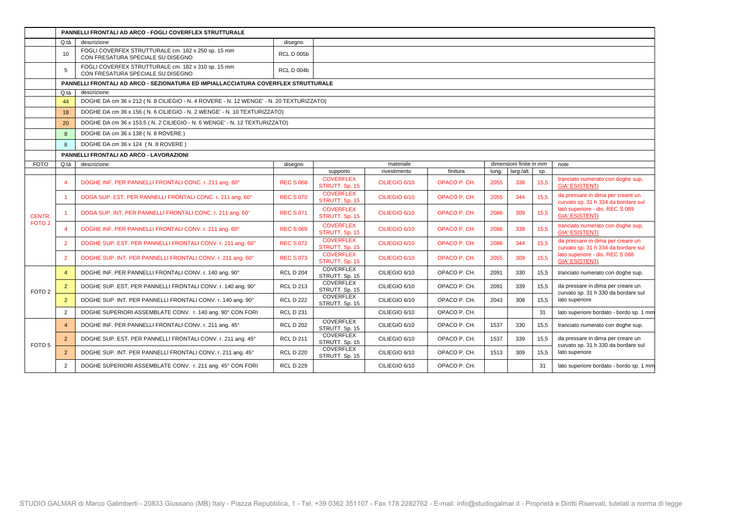|                   |                | PANNELLI FRONTALI AD ARCO - FOGLI COVERFLEX STRUTTURALE                                 |                   |                                    |               |              |       |                         |      |                                                                          |
|-------------------|----------------|-----------------------------------------------------------------------------------------|-------------------|------------------------------------|---------------|--------------|-------|-------------------------|------|--------------------------------------------------------------------------|
|                   | Q.tà           | descrizione                                                                             | disegno           |                                    |               |              |       |                         |      |                                                                          |
|                   | 10             | FOGLI COVERFEX STRUTTURALE cm. 182 x 250 sp. 15 mm<br>CON FRESATURA SPECIALE SU DISEGNO | <b>RCL D 005b</b> |                                    |               |              |       |                         |      |                                                                          |
|                   | 5              | FOGLI COVERFEX STRUTTURALE cm. 182 x 310 sp. 15 mm<br>CON FRESATURA SPECIALE SU DISEGNO | <b>RCL D 004b</b> |                                    |               |              |       |                         |      |                                                                          |
|                   |                | PANNELLI FRONTALI AD ARCO - SEZIONATURA ED IMPIALLACCIATURA COVERFLEX STRUTTURALE       |                   |                                    |               |              |       |                         |      |                                                                          |
|                   | Q.tà           | descrizione                                                                             |                   |                                    |               |              |       |                         |      |                                                                          |
|                   | 44             | DOGHE DA cm 36 x 212 (N. 8 CILIEGIO - N. 4 ROVERE - N. 12 WENGE' - N. 20 TEXTURIZZATO)  |                   |                                    |               |              |       |                         |      |                                                                          |
|                   | 18             | DOGHE DA cm 36 x 156 (N. 6 CILIEGIO - N. 2 WENGE' - N. 10 TEXTURIZZATO)                 |                   |                                    |               |              |       |                         |      |                                                                          |
|                   | 20             | DOGHE DA cm 36 x 153,5 (N. 2 CILIEGIO - N. 6 WENGE' - N. 12 TEXTURIZZATO)               |                   |                                    |               |              |       |                         |      |                                                                          |
|                   | 8              | DOGHE DA cm 36 x 138 (N. 8 ROVERE)                                                      |                   |                                    |               |              |       |                         |      |                                                                          |
|                   | 8              | DOGHE DA cm 36 x 124 (N. 8 ROVERE)                                                      |                   |                                    |               |              |       |                         |      |                                                                          |
|                   |                | PANNELLI FRONTALI AD ARCO - LAVORAZIONI                                                 |                   |                                    |               |              |       |                         |      |                                                                          |
| <b>FOTO</b>       | Q.tà           | descrizione                                                                             | disegno           |                                    | materiale     |              |       | dimensioni finite in mm |      | note                                                                     |
|                   |                |                                                                                         |                   | supporto                           | rivestimento  | finitura     | lung. | larg./alt.              | sp.  |                                                                          |
|                   |                | DOGHE INF. PER PANNELLI FRONTALI CONC. r. 211 ang. 60°                                  | <b>REC S 068</b>  | <b>COVERFLEX</b><br>STRUTT. Sp. 15 | CILIEGIO 6/10 | OPACO P. CH. | 2055  | 338                     | 15,5 | tranciato numerato con doghe sup,<br><b>GIA' ESISTENTI</b>               |
|                   |                | DOGA SUP. EST. PER PANNELLI FRONTALI CONC. r. 211 ang. 60°                              | <b>REC S 070</b>  | <b>COVERFLEX</b><br>STRUTT. Sp. 15 | CILIEGIO 6/10 | OPACO P. CH. | 2055  | 344                     | 15,5 | da pressare in dima per creare un<br>curvato sp. 31 h 334 da bordare sul |
| CENTR.            |                | DOGA SUP. INT. PER PANNELLI FRONTALI CONC. r. 211 ang. 60°                              | <b>REC S 071</b>  | <b>COVERFLEX</b><br>STRUTT. Sp. 15 | CILIEGIO 6/10 | OPACO P. CH. | 2086  | 309                     | 15,5 | lato superiore - dis. REC S 089<br><b>GIA' ESISTENTI</b>                 |
| FOTO <sub>2</sub> | $\overline{4}$ | DOGHE INF. PER PANNELLI FRONTALI CONV. r. 211 ang. 60°                                  | <b>REC S 069</b>  | <b>COVERFLEX</b><br>STRUTT. Sp. 15 | CILIEGIO 6/10 | OPACO P. CH. | 2086  | 338                     | 15,5 | tranciato numerato con doghe sup,<br><b>GIA' ESISTENTI</b>               |
|                   | $\overline{2}$ | DOGHE SUP. EST. PER PANNELLI FRONTALI CONV. r. 211 ang. 60°                             | <b>REC S 072</b>  | <b>COVERFLEX</b><br>STRUTT. Sp. 15 | CILIEGIO 6/10 | OPACO P. CH. | 2086  | 344                     | 15.5 | da pressare in dima per creare un<br>curvato sp. 31 h 334 da bordare sul |
|                   | $\overline{2}$ | DOGHE SUP. INT. PER PANNELLI FRONTALI CONV. r. 211 ang. 60°                             | <b>REC S 073</b>  | <b>COVERFLEX</b><br>STRUTT. Sp. 15 | CILIEGIO 6/10 | OPACO P. CH. | 2055  | 309                     | 15,5 | lato superiore - dis. REC S 088<br><b>GIA' ESISTENTI</b>                 |
|                   | $\overline{4}$ | DOGHE INF. PER PANNELLI FRONTALI CONV. r. 140 ang. 90°                                  | <b>RCL D 204</b>  | COVERFLEX<br>STRUTT. Sp. 15        | CILIEGIO 6/10 | OPACO P. CH. | 2091  | 330                     | 15,5 | tranciato numerato con doghe sup.                                        |
| FOTO <sub>2</sub> | $\overline{2}$ | DOGHE SUP. EST. PER PANNELLI FRONTALI CONV. r. 140 ang. 90°                             | <b>RCL D 213</b>  | COVERFLEX<br>STRUTT. Sp. 15        | CILIEGIO 6/10 | OPACO P. CH. | 2091  | 339                     | 15,5 | da pressare in dima per creare un<br>curvato sp. 31 h 330 da bordare sul |
|                   | $\overline{2}$ | DOGHE SUP. INT. PER PANNELLI FRONTALI CONV. r. 140 ang. 90°                             | <b>RCL D 222</b>  | <b>COVERFLEX</b><br>STRUTT. Sp. 15 | CILIEGIO 6/10 | OPACO P. CH. | 2043  | 308                     | 15,5 | lato superiore                                                           |
|                   | $\overline{2}$ | DOGHE SUPERIORI ASSEMBLATE CONV. r. 140 ang. 90° CON FORI                               | <b>RCL D 231</b>  |                                    | CILIEGIO 6/10 | OPACO P. CH. |       |                         | 31   | lato superiore bordato - bordo sp. 1 mm                                  |
|                   | $\overline{4}$ | DOGHE INF. PER PANNELLI FRONTALI CONV. r. 211 ang. 45°                                  | <b>RCL D 202</b>  | <b>COVERFLEX</b><br>STRUTT. Sp. 15 | CILIEGIO 6/10 | OPACO P. CH. | 1537  | 330                     | 15,5 | tranciato numerato con doghe sup.                                        |
| FOTO <sub>5</sub> | $\overline{2}$ | DOGHE SUP. EST. PER PANNELLI FRONTALI CONV. r. 211 ang. 45°                             | <b>RCL D 211</b>  | COVERFLEX<br>STRUTT. Sp. 15        | CILIEGIO 6/10 | OPACO P. CH. | 1537  | 339                     | 15,5 | da pressare in dima per creare un<br>curvato sp. 31 h 330 da bordare sul |
|                   | $\overline{2}$ | DOGHE SUP. INT. PER PANNELLI FRONTALI CONV. r. 211 ang. 45°                             | <b>RCL D 220</b>  | <b>COVERFLEX</b><br>STRUTT. Sp. 15 | CILIEGIO 6/10 | OPACO P. CH. | 1513  | 309                     | 15.5 | lato superiore                                                           |
|                   | 2              | DOGHE SUPERIORI ASSEMBLATE CONV. r. 211 ang. 45° CON FORI                               | <b>RCL D 229</b>  |                                    | CILIEGIO 6/10 | OPACO P. CH. |       |                         | 31   | lato superiore bordato - bordo sp. 1 mm                                  |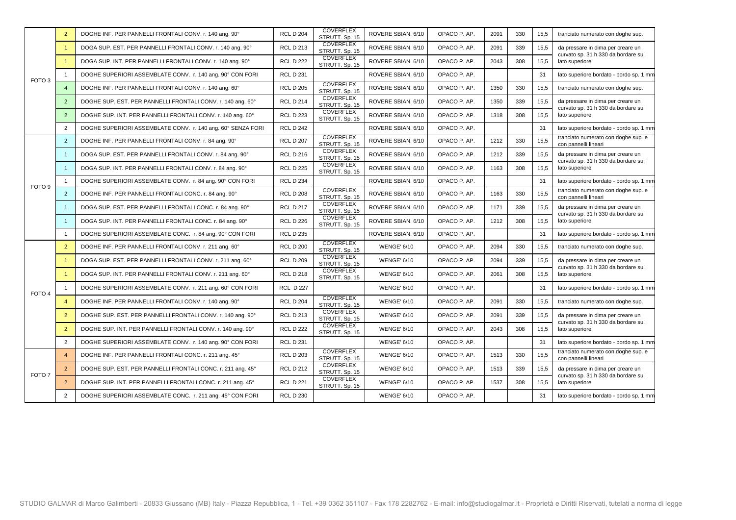|                   | $\overline{2}$ | DOGHE INF. PER PANNELLI FRONTALI CONV. r. 140 ang. 90°      | <b>RCL D 204</b> | <b>COVERFLEX</b><br>STRUTT. Sp. 15 | ROVERE SBIAN. 6/10 | OPACO P. AP. | 2091 | 330 | 15,5 | tranciato numerato con doghe sup.                                        |
|-------------------|----------------|-------------------------------------------------------------|------------------|------------------------------------|--------------------|--------------|------|-----|------|--------------------------------------------------------------------------|
|                   |                | DOGA SUP. EST. PER PANNELLI FRONTALI CONV. r. 140 ang. 90°  | <b>RCL D 213</b> | <b>COVERFLEX</b><br>STRUTT. Sp. 15 | ROVERE SBIAN. 6/10 | OPACO P. AP. | 2091 | 339 | 15,5 | da pressare in dima per creare un<br>curvato sp. 31 h 330 da bordare sul |
|                   |                | DOGA SUP. INT. PER PANNELLI FRONTALI CONV. r. 140 ang. 90°  | <b>RCL D 222</b> | <b>COVERFLEX</b><br>STRUTT. Sp. 15 | ROVERE SBIAN. 6/10 | OPACO P. AP. | 2043 | 308 | 15,5 | lato superiore                                                           |
| FOTO <sub>3</sub> |                | DOGHE SUPERIORI ASSEMBLATE CONV. r. 140 ang. 90° CON FORI   | <b>RCL D 231</b> |                                    | ROVERE SBIAN. 6/10 | OPACO P. AP. |      |     | 31   | lato superiore bordato - bordo sp. 1 mm                                  |
|                   | $\overline{4}$ | DOGHE INF. PER PANNELLI FRONTALI CONV. r. 140 ang. 60°      | <b>RCL D 205</b> | <b>COVERFLEX</b><br>STRUTT. Sp. 15 | ROVERE SBIAN. 6/10 | OPACO P. AP. | 1350 | 330 | 15,5 | tranciato numerato con doghe sup.                                        |
|                   | $\overline{2}$ | DOGHE SUP. EST. PER PANNELLI FRONTALI CONV. r. 140 ang. 60° | <b>RCL D 214</b> | <b>COVERFLEX</b><br>STRUTT. Sp. 15 | ROVERE SBIAN, 6/10 | OPACO P. AP. | 1350 | 339 | 15.5 | da pressare in dima per creare un<br>curvato sp. 31 h 330 da bordare sul |
|                   | $\overline{2}$ | DOGHE SUP. INT. PER PANNELLI FRONTALI CONV. r. 140 ang. 60° | <b>RCL D 223</b> | COVERFLEX<br>STRUTT. Sp. 15        | ROVERE SBIAN. 6/10 | OPACO P. AP. | 1318 | 308 | 15,5 | lato superiore                                                           |
|                   | $\overline{2}$ | DOGHE SUPERIORI ASSEMBLATE CONV. r. 140 ang. 60° SENZA FORI | <b>RCL D 242</b> |                                    | ROVERE SBIAN. 6/10 | OPACO P. AP. |      |     | 31   | lato superiore bordato - bordo sp. 1 mm                                  |
|                   | $\overline{2}$ | DOGHE INF. PER PANNELLI FRONTALI CONV. r. 84 ang. 90°       | <b>RCL D 207</b> | <b>COVERFLEX</b><br>STRUTT. Sp. 15 | ROVERE SBIAN, 6/10 | OPACO P. AP. | 1212 | 330 | 15,5 | tranciato numerato con doghe sup. e<br>con pannelli lineari              |
|                   |                | DOGA SUP. EST. PER PANNELLI FRONTALI CONV. r. 84 ang. 90°   | <b>RCL D 216</b> | COVERFLEX<br>STRUTT. Sp. 15        | ROVERE SBIAN. 6/10 | OPACO P. AP. | 1212 | 339 | 15,5 | da pressare in dima per creare un<br>curvato sp. 31 h 330 da bordare sul |
|                   |                | DOGA SUP. INT. PER PANNELLI FRONTALI CONV. r. 84 ang. 90°   | <b>RCL D 225</b> | <b>COVERFLEX</b><br>STRUTT. Sp. 15 | ROVERE SBIAN. 6/10 | OPACO P. AP. | 1163 | 308 | 15,5 | lato superiore                                                           |
| FOTO <sub>9</sub> |                | DOGHE SUPERIORI ASSEMBLATE CONV. r. 84 ang. 90° CON FORI    | <b>RCL D 234</b> |                                    | ROVERE SBIAN. 6/10 | OPACO P. AP. |      |     | 31   | lato superiore bordato - bordo sp. 1 mm                                  |
|                   | $\overline{2}$ | DOGHE INF. PER PANNELLI FRONTALI CONC. r. 84 ang. 90°       | <b>RCL D 208</b> | <b>COVERFLEX</b><br>STRUTT. Sp. 15 | ROVERE SBIAN. 6/10 | OPACO P. AP. | 1163 | 330 | 15,5 | tranciato numerato con doghe sup. e<br>con pannelli lineari              |
|                   |                | DOGA SUP. EST. PER PANNELLI FRONTALI CONC. r. 84 ang. 90°   | <b>RCL D 217</b> | <b>COVERFLEX</b><br>STRUTT. Sp. 15 | ROVERE SBIAN. 6/10 | OPACO P. AP. | 1171 | 339 | 15,5 | da pressare in dima per creare un<br>curvato sp. 31 h 330 da bordare sul |
|                   |                | DOGA SUP. INT. PER PANNELLI FRONTALI CONC. r. 84 ang. 90°   | <b>RCL D 226</b> | <b>COVERFLEX</b><br>STRUTT. Sp. 15 | ROVERE SBIAN. 6/10 | OPACO P. AP. | 1212 | 308 | 15,5 | lato superiore                                                           |
|                   | -1             | DOGHE SUPERIORI ASSEMBLATE CONC. r. 84 ang. 90° CON FORI    | <b>RCL D 235</b> |                                    | ROVERE SBIAN. 6/10 | OPACO P. AP. |      |     | 31   | lato superiore bordato - bordo sp. 1 mm                                  |
|                   | $\overline{2}$ | DOGHE INF. PER PANNELLI FRONTALI CONV. r. 211 ang. 60°      | <b>RCL D 200</b> | <b>COVERFLEX</b><br>STRUTT. Sp. 15 | <b>WENGE' 6/10</b> | OPACO P. AP. | 2094 | 330 | 15,5 | tranciato numerato con doghe sup.                                        |
|                   |                | DOGA SUP. EST. PER PANNELLI FRONTALI CONV. r. 211 ang. 60°  | <b>RCL D 209</b> | COVERFLEX<br>STRUTT. Sp. 15        | <b>WENGE' 6/10</b> | OPACO P. AP. | 2094 | 339 | 15,5 | da pressare in dima per creare un<br>curvato sp. 31 h 330 da bordare sul |
|                   |                | DOGA SUP. INT. PER PANNELLI FRONTALI CONV. r. 211 ang. 60°  | <b>RCL D 218</b> | <b>COVERFLEX</b><br>STRUTT. Sp. 15 | <b>WENGE' 6/10</b> | OPACO P. AP. | 2061 | 308 | 15,5 | lato superiore                                                           |
| FOTO <sub>4</sub> |                | DOGHE SUPERIORI ASSEMBLATE CONV. r. 211 ang. 60° CON FORI   | <b>RCL D 227</b> |                                    | <b>WENGE' 6/10</b> | OPACO P. AP. |      |     | 31   | lato superiore bordato - bordo sp. 1 mm                                  |
|                   | $\overline{4}$ | DOGHE INF. PER PANNELLI FRONTALI CONV. r. 140 ang. 90°      | <b>RCL D 204</b> | <b>COVERFLEX</b><br>STRUTT. Sp. 15 | <b>WENGE' 6/10</b> | OPACO P. AP. | 2091 | 330 | 15,5 | tranciato numerato con doghe sup.                                        |
|                   | $\overline{2}$ | DOGHE SUP. EST. PER PANNELLI FRONTALI CONV. r. 140 ang. 90° | <b>RCL D 213</b> | <b>COVERFLEX</b><br>STRUTT. Sp. 15 | <b>WENGE' 6/10</b> | OPACO P. AP. | 2091 | 339 | 15,5 | da pressare in dima per creare un<br>curvato sp. 31 h 330 da bordare sul |
|                   | $\overline{2}$ | DOGHE SUP. INT. PER PANNELLI FRONTALI CONV. r. 140 ang. 90° | <b>RCL D 222</b> | <b>COVERFLEX</b><br>STRUTT. Sp. 15 | <b>WENGE' 6/10</b> | OPACO P. AP. | 2043 | 308 | 15,5 | lato superiore                                                           |
|                   | $\overline{2}$ | DOGHE SUPERIORI ASSEMBLATE CONV. r. 140 ang. 90° CON FORI   | <b>RCL D 231</b> |                                    | <b>WENGE' 6/10</b> | OPACO P. AP. |      |     | 31   | lato superiore bordato - bordo sp. 1 mm                                  |
|                   | $\overline{4}$ | DOGHE INF. PER PANNELLI FRONTALI CONC. r. 211 ang. 45°      | <b>RCL D 203</b> | COVERFLEX<br>STRUTT. Sp. 15        | <b>WENGE' 6/10</b> | OPACO P. AP. | 1513 | 330 | 15,5 | tranciato numerato con doghe sup. e<br>con pannelli lineari              |
| FOTO 7            | $\overline{2}$ | DOGHE SUP. EST. PER PANNELLI FRONTALI CONC. r. 211 ang. 45° | <b>RCL D 212</b> | <b>COVERFLEX</b><br>STRUTT. Sp. 15 | <b>WENGE' 6/10</b> | OPACO P. AP. | 1513 | 339 | 15,5 | da pressare in dima per creare un<br>curvato sp. 31 h 330 da bordare sul |
|                   | $\overline{2}$ | DOGHE SUP. INT. PER PANNELLI FRONTALI CONC. r. 211 ang. 45° | <b>RCL D 221</b> | COVERFLEX<br>STRUTT. Sp. 15        | <b>WENGE' 6/10</b> | OPACO P. AP. | 1537 | 308 | 15,5 | lato superiore                                                           |
|                   | 2              | DOGHE SUPERIORI ASSEMBLATE CONC. r. 211 ang. 45° CON FORI   | <b>RCL D 230</b> |                                    | <b>WENGE' 6/10</b> | OPACO P. AP. |      |     | 31   | lato superiore bordato - bordo sp. 1 mm                                  |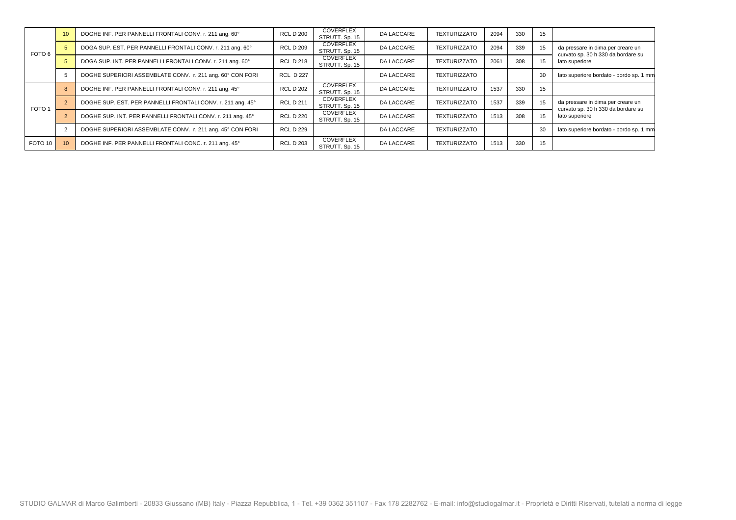|                   | 10 <sup>1</sup> | DOGHE INF. PER PANNELLI FRONTALI CONV. r. 211 ang. 60°      | <b>RCL D 200</b> | COVERFLEX<br>STRUTT. Sp. 15        | <b>DA LACCARE</b> | <b>TEXTURIZZATO</b> | 2094 | 330 | 15 |                                                                          |
|-------------------|-----------------|-------------------------------------------------------------|------------------|------------------------------------|-------------------|---------------------|------|-----|----|--------------------------------------------------------------------------|
| FOTO 6            |                 | DOGA SUP. EST. PER PANNELLI FRONTALI CONV. r. 211 ang. 60°  | <b>RCL D 209</b> | COVERFLEX<br>STRUTT. Sp. 15        | DA LACCARE        | <b>TEXTURIZZATO</b> | 2094 | 339 | 15 | da pressare in dima per creare un<br>curvato sp. 30 h 330 da bordare sul |
|                   |                 | DOGA SUP. INT. PER PANNELLI FRONTALI CONV. r. 211 ang. 60°  | <b>RCL D 218</b> | COVERFLEX<br>STRUTT. Sp. 15        | DA LACCARE        | <b>TEXTURIZZATO</b> | 2061 | 308 | 15 | lato superiore                                                           |
|                   |                 | DOGHE SUPERIORI ASSEMBLATE CONV. r. 211 ang. 60° CON FORI   | <b>RCL D 227</b> |                                    | <b>DA LACCARE</b> | <b>TEXTURIZZATO</b> |      |     | 30 | lato superiore bordato - bordo sp. 1 mm                                  |
|                   |                 | DOGHE INF. PER PANNELLI FRONTALI CONV. r. 211 ang. 45°      | <b>RCL D 202</b> | COVERFLEX<br>STRUTT. Sp. 15        | DA LACCARE        | <b>TEXTURIZZATO</b> | 1537 | 330 | 15 |                                                                          |
| FOTO <sub>1</sub> |                 | DOGHE SUP. EST. PER PANNELLI FRONTALI CONV. r. 211 ang. 45° | <b>RCL D 211</b> | COVERFLEX<br>STRUTT. Sp. 15        | DA LACCARE        | <b>TEXTURIZZATO</b> | 1537 | 339 | 15 | da pressare in dima per creare un<br>curvato sp. 30 h 330 da bordare sul |
|                   |                 | DOGHE SUP. INT. PER PANNELLI FRONTALI CONV. r. 211 ang. 45° | <b>RCL D 220</b> | COVERFLEX<br>STRUTT. Sp. 15        | DA LACCARE        | <b>TEXTURIZZATO</b> | 1513 | 308 |    | lato superiore                                                           |
|                   |                 | DOGHE SUPERIORI ASSEMBLATE CONV. r. 211 ang. 45° CON FORI   | <b>RCL D 229</b> |                                    | <b>DA LACCARE</b> | <b>TEXTURIZZATO</b> |      |     | 30 | lato superiore bordato - bordo sp. 1 mm                                  |
| FOTO 10           | 10 <sup>1</sup> | DOGHE INF. PER PANNELLI FRONTALI CONC. r. 211 ang. 45°      | <b>RCL D 203</b> | <b>COVERFLEX</b><br>STRUTT, Sp. 15 | <b>DA LACCARE</b> | <b>TEXTURIZZATO</b> | 1513 | 330 | 15 |                                                                          |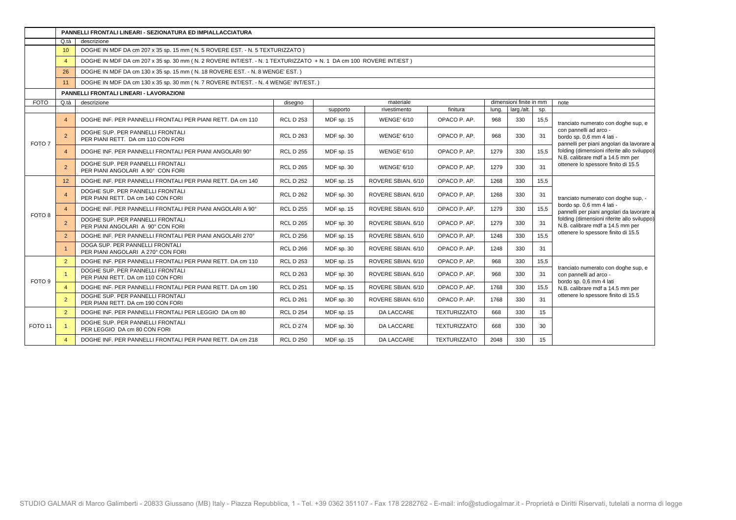|                   |                 | PANNELLI FRONTALI LINEARI - SEZIONATURA ED IMPIALLACCIATURA                                                      |                  |            |                    |                     |       |                         |      |                                                                                                  |
|-------------------|-----------------|------------------------------------------------------------------------------------------------------------------|------------------|------------|--------------------|---------------------|-------|-------------------------|------|--------------------------------------------------------------------------------------------------|
|                   | Q.tà            | descrizione                                                                                                      |                  |            |                    |                     |       |                         |      |                                                                                                  |
|                   | 10 <sup>°</sup> | DOGHE IN MDF DA cm 207 x 35 sp. 15 mm (N. 5 ROVERE EST. - N. 5 TEXTURIZZATO)                                     |                  |            |                    |                     |       |                         |      |                                                                                                  |
|                   | $\overline{4}$  | DOGHE IN MDF DA cm 207 x 35 sp. 30 mm (N. 2 ROVERE INT/EST. - N. 1 TEXTURIZZATO + N. 1 DA cm 100 ROVERE INT/EST) |                  |            |                    |                     |       |                         |      |                                                                                                  |
|                   | 26              | DOGHE IN MDF DA cm 130 x 35 sp. 15 mm (N. 18 ROVERE EST. - N. 8 WENGE' EST.)                                     |                  |            |                    |                     |       |                         |      |                                                                                                  |
|                   | 11              | DOGHE IN MDF DA cm 130 x 35 sp. 30 mm (N. 7 ROVERE INT/EST. - N. 4 WENGE' INT/EST.)                              |                  |            |                    |                     |       |                         |      |                                                                                                  |
|                   |                 | PANNELLI FRONTALI LINEARI - LAVORAZIONI                                                                          |                  |            |                    |                     |       |                         |      |                                                                                                  |
| <b>FOTO</b>       | Q.tà            | descrizione                                                                                                      | disegno          |            | materiale          |                     |       | dimensioni finite in mm |      | note                                                                                             |
|                   |                 |                                                                                                                  |                  | supporto   | rivestimento       | finitura            | luna. | larg./alt.              | Sp.  |                                                                                                  |
|                   | $\overline{4}$  | DOGHE INF. PER PANNELLI FRONTALI PER PIANI RETT. DA cm 110                                                       | <b>RCL D 253</b> | MDF sp. 15 | <b>WENGE' 6/10</b> | OPACO P. AP.        | 968   | 330                     | 15,5 | tranciato numerato con doghe sup, e                                                              |
| FOTO <sub>7</sub> | $\overline{2}$  | DOGHE SUP. PER PANNELLI FRONTALI<br>PER PIANI RETT. DA cm 110 CON FORI                                           | <b>RCL D 263</b> | MDF sp. 30 | <b>WENGE' 6/10</b> | OPACO P. AP.        | 968   | 330                     | 31   | con pannelli ad arco -<br>bordo sp. 0,6 mm 4 lati -<br>pannelli per piani angolari da lavorare a |
|                   | $\overline{4}$  | DOGHE INF. PER PANNELLI FRONTALI PER PIANI ANGOLARI 90°                                                          | <b>RCL D 255</b> | MDF sp. 15 | <b>WENGE' 6/10</b> | OPACO P. AP.        | 1279  | 330                     | 15,5 | folding (dimensioni riferite allo sviluppo)<br>N.B. calibrare mdf a 14.5 mm per                  |
|                   | $\overline{2}$  | DOGHE SUP. PER PANNELLI FRONTALI<br>PER PIANI ANGOLARI A 90° CON FORI                                            | <b>RCL D 265</b> | MDF sp. 30 | <b>WENGE' 6/10</b> | OPACO P. AP.        | 1279  | 330                     | 31   | ottenere lo spessore finito di 15.5                                                              |
|                   | 12 <sup>2</sup> | DOGHE INF. PER PANNELLI FRONTALI PER PIANI RETT. DA cm 140                                                       | <b>RCL D 252</b> | MDF sp. 15 | ROVERE SBIAN, 6/10 | OPACO P. AP.        | 1268  | 330                     | 15,5 |                                                                                                  |
|                   | $\overline{4}$  | DOGHE SUP. PER PANNELLI FRONTALI<br>PER PIANI RETT. DA cm 140 CON FORI                                           | <b>RCL D 262</b> | MDF sp. 30 | ROVERE SBIAN. 6/10 | OPACO P. AP.        | 1268  | 330                     | 31   | tranciato numerato con doghe sup, -                                                              |
|                   | $\overline{4}$  | DOGHE INF. PER PANNELLI FRONTALI PER PIANI ANGOLARI A 90°                                                        | <b>RCL D 255</b> | MDF sp. 15 | ROVERE SBIAN. 6/10 | OPACO P. AP.        | 1279  | 330                     | 15,5 | bordo sp. 0,6 mm 4 lati -<br>pannelli per piani angolari da lavorare a                           |
| FOTO <sub>8</sub> | $\overline{2}$  | DOGHE SUP. PER PANNELLI FRONTALI<br>PER PIANI ANGOLARI A 90° CON FORI                                            | <b>RCL D 265</b> | MDF sp. 30 | ROVERE SBIAN. 6/10 | OPACO P. AP.        | 1279  | 330                     | 31   | folding (dimensioni riferite allo sviluppo)<br>N.B. calibrare mdf a 14.5 mm per                  |
|                   | $\overline{2}$  | DOGHE INF. PER PANNELLI FRONTALI PER PIANI ANGOLARI 270°                                                         | <b>RCL D 256</b> | MDF sp. 15 | ROVERE SBIAN. 6/10 | OPACO P. AP.        | 1248  | 330                     | 15.5 | ottenere lo spessore finito di 15.5                                                              |
|                   |                 | DOGA SUP. PER PANNELLI FRONTALI<br>PER PIANI ANGOLARI A 270° CON FORI                                            | <b>RCL D 266</b> | MDF sp. 30 | ROVERE SBIAN, 6/10 | OPACO P. AP.        | 1248  | 330                     | 31   |                                                                                                  |
|                   | $\overline{2}$  | DOGHE INF. PER PANNELLI FRONTALI PER PIANI RETT. DA cm 110                                                       | <b>RCL D 253</b> | MDF sp. 15 | ROVERE SBIAN. 6/10 | OPACO P. AP.        | 968   | 330                     | 15,5 |                                                                                                  |
| FOTO 9            |                 | DOGHE SUP. PER PANNELLI FRONTALI<br>PER PIANI RETT. DA cm 110 CON FORI                                           | <b>RCL D 263</b> | MDF sp. 30 | ROVERE SBIAN. 6/10 | OPACO P. AP.        | 968   | 330                     | 31   | tranciato numerato con doghe sup, e<br>con pannelli ad arco -<br>bordo sp. 0,6 mm 4 lati         |
|                   | $\overline{4}$  | DOGHE INF. PER PANNELLI FRONTALI PER PIANI RETT. DA cm 190                                                       | <b>RCL D 251</b> | MDF sp. 15 | ROVERE SBIAN. 6/10 | OPACO P. AP.        | 1768  | 330                     | 15,5 | N.B. calibrare mdf a 14.5 mm per                                                                 |
|                   | $\overline{2}$  | DOGHE SUP. PER PANNELLI FRONTALI<br>PER PIANI RETT. DA cm 190 CON FORI                                           | <b>RCL D 261</b> | MDF sp. 30 | ROVERE SBIAN. 6/10 | OPACO P. AP.        | 1768  | 330                     | 31   | ottenere lo spessore finito di 15.5                                                              |
|                   | 2               | DOGHE INF. PER PANNELLI FRONTALI PER LEGGIO DA cm 80                                                             | <b>RCL D 254</b> | MDF sp. 15 | <b>DA LACCARE</b>  | <b>TEXTURIZZATO</b> | 668   | 330                     | 15   |                                                                                                  |
| FOTO 11           | 1               | DOGHE SUP. PER PANNELLI FRONTALI<br>PER LEGGIO DA cm 80 CON FORI                                                 | <b>RCL D 274</b> | MDF sp. 30 | DA LACCARE         | <b>TEXTURIZZATO</b> | 668   | 330                     | 30   |                                                                                                  |
|                   | $\overline{4}$  | DOGHE INF. PER PANNELLI FRONTALI PER PIANI RETT. DA cm 218                                                       | <b>RCL D 250</b> | MDF sp. 15 | <b>DA LACCARE</b>  | <b>TEXTURIZZATO</b> | 2048  | 330                     | 15   |                                                                                                  |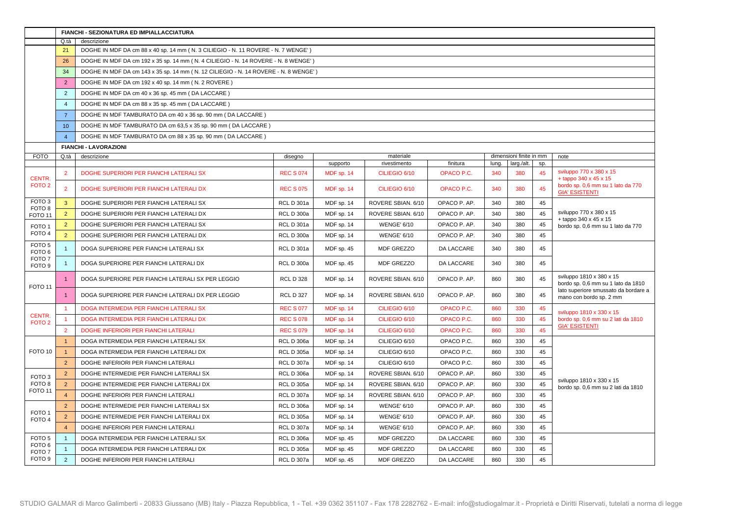|                                        |                      | FIANCHI - SEZIONATURA ED IMPIALLACCIATURA                                           |                   |            |                    |              |       |                         |     |                                                                 |
|----------------------------------------|----------------------|-------------------------------------------------------------------------------------|-------------------|------------|--------------------|--------------|-------|-------------------------|-----|-----------------------------------------------------------------|
|                                        | Q.tà                 | descrizione                                                                         |                   |            |                    |              |       |                         |     |                                                                 |
|                                        | 21                   | DOGHE IN MDF DA cm 88 x 40 sp. 14 mm (N. 3 CILIEGIO - N. 11 ROVERE - N. 7 WENGE')   |                   |            |                    |              |       |                         |     |                                                                 |
|                                        | 26                   | DOGHE IN MDF DA cm 192 x 35 sp. 14 mm (N. 4 CILIEGIO - N. 14 ROVERE - N. 8 WENGE')  |                   |            |                    |              |       |                         |     |                                                                 |
|                                        | 34                   | DOGHE IN MDF DA cm 143 x 35 sp. 14 mm (N. 12 CILIEGIO - N. 14 ROVERE - N. 8 WENGE') |                   |            |                    |              |       |                         |     |                                                                 |
|                                        | 2                    | DOGHE IN MDF DA cm 192 x 40 sp. 14 mm (N. 2 ROVERE)                                 |                   |            |                    |              |       |                         |     |                                                                 |
|                                        | 2                    | DOGHE IN MDF DA cm 40 x 36 sp. 45 mm (DA LACCARE)                                   |                   |            |                    |              |       |                         |     |                                                                 |
|                                        | $\overline{4}$       | DOGHE IN MDF DA cm 88 x 35 sp. 45 mm (DA LACCARE)                                   |                   |            |                    |              |       |                         |     |                                                                 |
|                                        | $\overline{7}$       | DOGHE IN MDF TAMBURATO DA cm 40 x 36 sp. 90 mm (DA LACCARE)                         |                   |            |                    |              |       |                         |     |                                                                 |
|                                        | 10 <sup>°</sup>      | DOGHE IN MDF TAMBURATO DA cm 63,5 x 35 sp. 90 mm (DA LACCARE)                       |                   |            |                    |              |       |                         |     |                                                                 |
|                                        | $\overline{4}$       | DOGHE IN MDF TAMBURATO DA cm 88 x 35 sp. 90 mm (DA LACCARE)                         |                   |            |                    |              |       |                         |     |                                                                 |
|                                        |                      | <b>FIANCHI - LAVORAZIONI</b>                                                        |                   |            |                    |              |       |                         |     |                                                                 |
| <b>FOTO</b>                            | Q.tà                 | descrizione                                                                         | disegno           |            | materiale          |              |       | dimensioni finite in mm |     | note                                                            |
|                                        |                      |                                                                                     |                   | supporto   | rivestimento       | finitura     | lung. | larg./alt.              | SD. | sviluppo 770 x 380 x 15                                         |
| <b>CENTR.</b><br>FOTO <sub>2</sub>     | $\overline{2}$       | DOGHE SUPERIORI PER FIANCHI LATERALI SX                                             | <b>REC S 074</b>  | MDF sp. 14 | CILIEGIO 6/10      | OPACO P.C.   | 340   | 380                     | 45  | $+$ tappo 340 x 45 x 15<br>bordo sp. 0,6 mm su 1 lato da 770    |
|                                        | $\overline{2}$       | DOGHE SUPERIORI PER FIANCHI LATERALI DX                                             | <b>REC S 075</b>  | MDF sp. 14 | CILIEGIO 6/10      | OPACO P.C.   | 340   | 380                     | 45  | <b>GIA' ESISTENTI</b>                                           |
| FOTO <sub>3</sub><br>FOTO <sub>8</sub> | $\mathbf{3}$         | DOGHE SUPERIORI PER FIANCHI LATERALI SX                                             | <b>RCL D 301a</b> | MDF sp. 14 | ROVERE SBIAN, 6/10 | OPACO P. AP. | 340   | 380                     | 45  |                                                                 |
| FOTO <sub>11</sub>                     | $2^{\circ}$          | DOGHE SUPERIORI PER FIANCHI LATERALI DX                                             | <b>RCL D 300a</b> | MDF sp. 14 | ROVERE SBIAN. 6/10 | OPACO P. AP. | 340   | 380                     | 45  | sviluppo 770 x 380 x 15<br>$+$ tappo 340 x 45 x 15              |
| FOTO <sub>1</sub>                      | $\overline{2}$       | DOGHE SUPERIORI PER FIANCHI LATERALI SX                                             | <b>RCL D 301a</b> | MDF sp. 14 | <b>WENGE' 6/10</b> | OPACO P. AP. | 340   | 380                     | 45  | bordo sp. 0,6 mm su 1 lato da 770                               |
| FOTO <sub>4</sub>                      | 2                    | DOGHE SUPERIORI PER FIANCHI LATERALI DX                                             | <b>RCL D 300a</b> | MDF sp. 14 | <b>WENGE' 6/10</b> | OPACO P. AP. | 340   | 380                     | 45  |                                                                 |
| FOTO <sub>5</sub><br>FOTO <sub>6</sub> | $\overline{1}$       | DOGA SUPERIORE PER FIANCHI LATERALI SX                                              | <b>RCL D 301a</b> | MDF sp. 45 | MDF GREZZO         | DA LACCARE   | 340   | 380                     | 45  |                                                                 |
| FOTO <sub>7</sub><br>FOTO <sub>9</sub> | $\overline{1}$       | DOGA SUPERIORE PER FIANCHI LATERALI DX                                              | <b>RCL D 300a</b> | MDF sp. 45 | MDF GREZZO         | DA LACCARE   | 340   | 380                     | 45  |                                                                 |
|                                        | $\overline{1}$       | DOGA SUPERIORE PER FIANCHI LATERALI SX PER LEGGIO                                   | <b>RCL D 328</b>  | MDF sp. 14 | ROVERE SBIAN. 6/10 | OPACO P. AP. | 860   | 380                     | 45  | sviluppo 1810 x 380 x 15<br>bordo sp. 0,6 mm su 1 lato da 1810  |
| FOTO <sub>11</sub>                     |                      | DOGA SUPERIORE PER FIANCHI LATERALI DX PER LEGGIO                                   | <b>RCL D 327</b>  | MDF sp. 14 | ROVERE SBIAN. 6/10 | OPACO P. AP. | 860   | 380                     | 45  | lato superiore smussato da bordare a<br>mano con bordo sp. 2 mm |
|                                        | $\overline{1}$       | DOGA INTERMEDIA PER FIANCHI LATERALI SX                                             | <b>REC S 077</b>  | MDF sp. 14 | CILIEGIO 6/10      | OPACO P.C.   | 860   | 330                     | 45  |                                                                 |
| <b>CENTR.</b><br>FOTO <sub>2</sub>     | $\blacktriangleleft$ | DOGA INTERMEDIA PER FIANCHI LATERALI DX                                             | <b>REC S 078</b>  | MDF sp. 14 | CILIEGIO 6/10      | OPACO P.C.   | 860   | 330                     | 45  | sviluppo 1810 x 330 x 15<br>bordo sp. 0,6 mm su 2 lati da 1810  |
|                                        | $\overline{2}$       | DOGHE INFERIORI PER FIANCHI LATERALI                                                | <b>REC S 079</b>  | MDF sp. 14 | CILIEGIO 6/10      | OPACO P.C.   | 860   | 330                     | 45  | <b>GIA' ESISTENTI</b>                                           |
|                                        | $\overline{1}$       | DOGA INTERMEDIA PER FIANCHI LATERALI SX                                             | <b>RCL D 306a</b> | MDF sp. 14 | CILIEGIO 6/10      | OPACO P.C.   | 860   | 330                     | 45  |                                                                 |
| FOTO <sub>10</sub>                     | $\overline{1}$       | DOGA INTERMEDIA PER FIANCHI LATERALI DX                                             | <b>RCL D 305a</b> | MDF sp. 14 | CILIEGIO 6/10      | OPACO P.C.   | 860   | 330                     | 45  |                                                                 |
|                                        | 2                    | DOGHE INFERIORI PER FIANCHI LATERALI                                                | <b>RCL D 307a</b> | MDF sp. 14 | CILIEGIO 6/10      | OPACO P.C.   | 860   | 330                     | 45  |                                                                 |
| FOTO <sub>3</sub>                      | $\overline{2}$       | DOGHE INTERMEDIE PER FIANCHI LATERALI SX                                            | <b>RCL D 306a</b> | MDF sp. 14 | ROVERE SBIAN. 6/10 | OPACO P. AP. | 860   | 330                     | 45  |                                                                 |
| FOTO <sub>8</sub>                      | 2                    | DOGHE INTERMEDIE PER FIANCHI LATERALI DX                                            | <b>RCL D 305a</b> | MDF sp. 14 | ROVERE SBIAN. 6/10 | OPACO P. AP. | 860   | 330                     | 45  | sviluppo 1810 x 330 x 15<br>bordo sp. 0,6 mm su 2 lati da 1810  |
| FOTO <sub>11</sub>                     | $\overline{4}$       | DOGHE INFERIORI PER FIANCHI LATERALI                                                | <b>RCL D 307a</b> | MDF sp. 14 | ROVERE SBIAN. 6/10 | OPACO P. AP. | 860   | 330                     | 45  |                                                                 |
|                                        | $\overline{2}$       | DOGHE INTERMEDIE PER FIANCHI LATERALI SX                                            | <b>RCL D 306a</b> | MDF sp. 14 | <b>WENGE' 6/10</b> | OPACO P. AP. | 860   | 330                     | 45  |                                                                 |
| FOTO <sub>1</sub><br>FOTO <sub>4</sub> | $2^{\circ}$          | DOGHE INTERMEDIE PER FIANCHI LATERALI DX                                            | <b>RCL D 305a</b> | MDF sp. 14 | <b>WENGE' 6/10</b> | OPACO P. AP. | 860   | 330                     | 45  |                                                                 |
|                                        | $\overline{4}$       | DOGHE INFERIORI PER FIANCHI LATERALI                                                | <b>RCL D 307a</b> | MDF sp. 14 | <b>WENGE' 6/10</b> | OPACO P. AP. | 860   | 330                     | 45  |                                                                 |
| FOTO <sub>5</sub>                      | $\mathbf{1}$         | DOGA INTERMEDIA PER FIANCHI LATERALI SX                                             | <b>RCL D 306a</b> | MDF sp. 45 | MDF GREZZO         | DA LACCARE   | 860   | 330                     | 45  |                                                                 |
| FOTO <sub>6</sub><br>FOTO <sub>7</sub> | $\overline{1}$       | DOGA INTERMEDIA PER FIANCHI LATERALI DX                                             | <b>RCL D 305a</b> | MDF sp. 45 | MDF GREZZO         | DA LACCARE   | 860   | 330                     | 45  |                                                                 |
| FOTO <sub>9</sub>                      | $\overline{2}$       | DOGHE INFERIORI PER FIANCHI LATERALI                                                | <b>RCL D 307a</b> | MDF sp. 45 | MDF GREZZO         | DA LACCARE   | 860   | 330                     | 45  |                                                                 |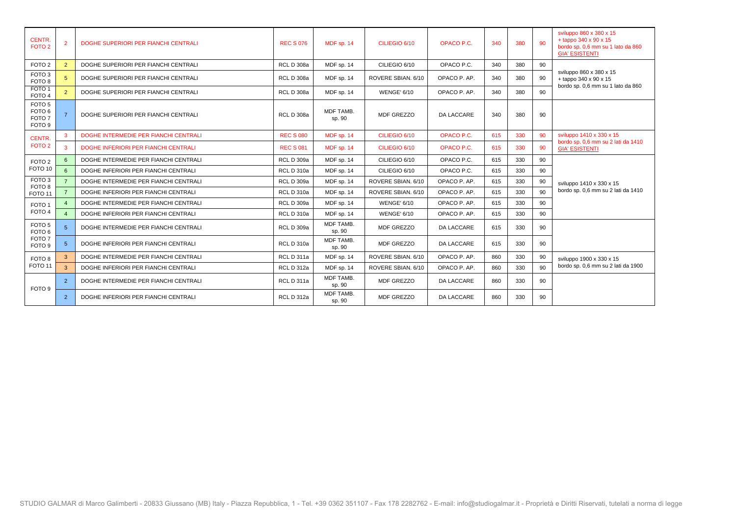| <b>CENTR.</b><br>FOTO <sub>2</sub>                                               |               | DOGHE SUPERIORI PER FIANCHI CENTRALI  | <b>REC S 076</b>  | MDF sp. 14          | CILIEGIO 6/10      | OPACO P.C.        | 340 | 380 | 90 | sviluppo 860 x 380 x 15<br>+ tappo 340 x 90 x 15<br>bordo sp. 0,6 mm su 1 lato da 860<br><b>GIA' ESISTENTI</b> |
|----------------------------------------------------------------------------------|---------------|---------------------------------------|-------------------|---------------------|--------------------|-------------------|-----|-----|----|----------------------------------------------------------------------------------------------------------------|
| FOTO <sub>2</sub>                                                                | $\mathcal{P}$ | DOGHE SUPERIORI PER FIANCHI CENTRALI  | <b>RCL D 308a</b> | MDF sp. 14          | CILIEGIO 6/10      | OPACO P.C.        | 340 | 380 | 90 |                                                                                                                |
| FOTO <sub>3</sub><br>FOTO <sub>8</sub>                                           |               | DOGHE SUPERIORI PER FIANCHI CENTRALI  | <b>RCL D 308a</b> | MDF sp. 14          | ROVERE SBIAN. 6/10 | OPACO P. AP.      | 340 | 380 | 90 | sviluppo 860 x 380 x 15<br>+ tappo 340 x 90 x 15<br>bordo sp. 0,6 mm su 1 lato da 860                          |
| FOTO <sub>1</sub><br>FOTO <sub>4</sub>                                           | $\mathcal{P}$ | DOGHE SUPERIORI PER FIANCHI CENTRALI  | <b>RCL D 308a</b> | MDF sp. 14          | <b>WENGE' 6/10</b> | OPACO P. AP.      | 340 | 380 | 90 |                                                                                                                |
| FOTO <sub>5</sub><br>FOTO <sub>6</sub><br>FOTO <sub>7</sub><br>FOTO <sub>9</sub> |               | DOGHE SUPERIORI PER FIANCHI CENTRALI  | <b>RCL D 308a</b> | MDF TAMB.<br>sp. 90 | MDF GREZZO         | <b>DA LACCARE</b> | 340 | 380 | 90 |                                                                                                                |
| <b>CENTR.</b>                                                                    | 3             | DOGHE INTERMEDIE PER FIANCHI CENTRALI | <b>REC S 080</b>  | MDF sp. 14          | CILIEGIO 6/10      | OPACO P.C.        | 615 | 330 | 90 | sviluppo 1410 x 330 x 15                                                                                       |
| FOTO <sub>2</sub>                                                                | 3             | DOGHE INFERIORI PER FIANCHI CENTRALI  | <b>REC S 081</b>  | MDF sp. 14          | CILIEGIO 6/10      | OPACO P.C.        | 615 | 330 | 90 | bordo sp. 0,6 mm su 2 lati da 1410<br><b>GIA' ESISTENTI</b>                                                    |
| FOTO <sub>2</sub>                                                                |               | DOGHE INTERMEDIE PER FIANCHI CENTRALI | <b>RCL D 309a</b> | MDF sp. 14          | CILIEGIO 6/10      | OPACO P.C.        | 615 | 330 | 90 |                                                                                                                |
| FOTO <sub>10</sub>                                                               | 6             | DOGHE INFERIORI PER FIANCHI CENTRALI  | <b>RCL D 310a</b> | MDF sp. 14          | CILIEGIO 6/10      | OPACO P.C.        | 615 | 330 | 90 |                                                                                                                |
| FOTO <sub>3</sub><br>FOTO <sub>8</sub>                                           |               | DOGHE INTERMEDIE PER FIANCHI CENTRALI | <b>RCL D 309a</b> | MDF sp. 14          | ROVERE SBIAN. 6/10 | OPACO P. AP.      | 615 | 330 | 90 | sviluppo 1410 x 330 x 15                                                                                       |
| FOTO <sub>11</sub>                                                               |               | DOGHE INFERIORI PER FIANCHI CENTRALI  | <b>RCL D 310a</b> | MDF sp. 14          | ROVERE SBIAN, 6/10 | OPACO P. AP.      | 615 | 330 | 90 | bordo sp. 0,6 mm su 2 lati da 1410                                                                             |
| FOTO <sub>1</sub>                                                                |               | DOGHE INTERMEDIE PER FIANCHI CENTRALI | <b>RCL D 309a</b> | MDF sp. 14          | <b>WENGE' 6/10</b> | OPACO P. AP.      | 615 | 330 | 90 |                                                                                                                |
| FOTO <sub>4</sub>                                                                | $\Delta$      | DOGHE INFERIORI PER FIANCHI CENTRALI  | <b>RCL D 310a</b> | MDF sp. 14          | <b>WENGE' 6/10</b> | OPACO P. AP.      | 615 | 330 | 90 |                                                                                                                |
| FOTO <sub>5</sub><br>FOTO <sub>6</sub>                                           |               | DOGHE INTERMEDIE PER FIANCHI CENTRALI | <b>RCL D 309a</b> | MDF TAMB.<br>sp. 90 | MDF GREZZO         | <b>DA LACCARE</b> | 615 | 330 | 90 |                                                                                                                |
| FOTO <sub>7</sub><br>FOTO <sub>9</sub>                                           | 5             | DOGHE INFERIORI PER FIANCHI CENTRALI  | <b>RCL D 310a</b> | MDF TAMB.<br>sp. 90 | MDF GREZZO         | <b>DA LACCARE</b> | 615 | 330 | 90 |                                                                                                                |
| FOTO <sub>8</sub>                                                                |               | DOGHE INTERMEDIE PER FIANCHI CENTRALI | RCL D 311a        | MDF sp. 14          | ROVERE SBIAN. 6/10 | OPACO P. AP.      | 860 | 330 | 90 | sviluppo 1900 x 330 x 15                                                                                       |
| FOTO <sub>11</sub>                                                               | $\mathbf{B}$  | DOGHE INFERIORI PER FIANCHI CENTRALI  | <b>RCL D 312a</b> | MDF sp. 14          | ROVERE SBIAN, 6/10 | OPACO P. AP.      | 860 | 330 | 90 | bordo sp. 0,6 mm su 2 lati da 1900                                                                             |
| FOTO 9                                                                           | $\mathcal{P}$ | DOGHE INTERMEDIE PER FIANCHI CENTRALI | RCL D 311a        | MDF TAMB.<br>sp. 90 | <b>MDF GREZZO</b>  | DA LACCARE        | 860 | 330 | 90 |                                                                                                                |
|                                                                                  | 2             | DOGHE INFERIORI PER FIANCHI CENTRALI  | <b>RCL D 312a</b> | MDF TAMB.<br>sp. 90 | <b>MDF GREZZO</b>  | <b>DA LACCARE</b> | 860 | 330 | 90 |                                                                                                                |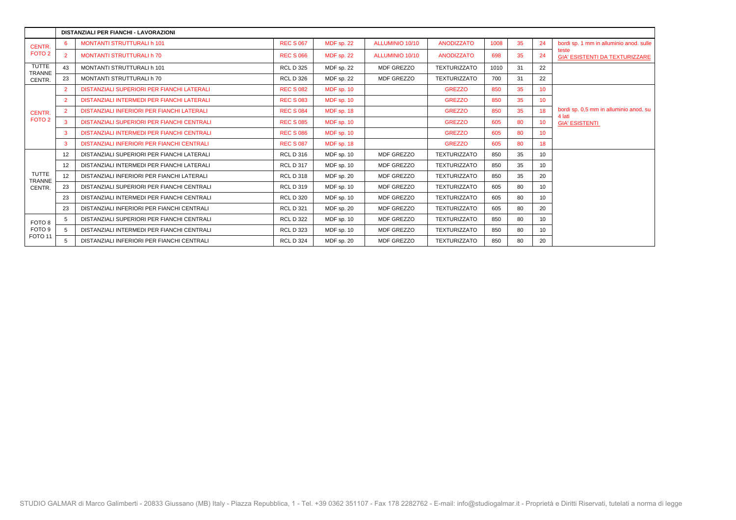|                               |                 | DISTANZIALI PER FIANCHI - LAVORAZIONI             |                  |                   |                        |                     |      |    |                 |                                                  |
|-------------------------------|-----------------|---------------------------------------------------|------------------|-------------------|------------------------|---------------------|------|----|-----------------|--------------------------------------------------|
| CENTR.                        | 6.              | <b>MONTANTI STRUTTURALI h 101</b>                 | <b>REC S 067</b> | MDF sp. 22        | ALLUMINIO 10/10        | <b>ANODIZZATO</b>   | 1008 | 35 | 24              | bordi sp. 1 mm in alluminio anod. sulle          |
| FOTO <sub>2</sub>             | $\overline{2}$  | <b>MONTANTI STRUTTURALI h 70</b>                  | <b>REC S 066</b> | MDF sp. 22        | <b>ALLUMINIO 10/10</b> | <b>ANODIZZATO</b>   | 698  | 35 | 24              | teste<br><b>GIA' ESISTENTI DA TEXTURIZZARE</b>   |
| <b>TUTTE</b><br>TRANNE        | 43              | <b>MONTANTI STRUTTURALI h 101</b>                 | <b>RCL D 325</b> | MDF sp. 22        | <b>MDF GREZZO</b>      | <b>TEXTURIZZATO</b> | 1010 | 31 | 22              |                                                  |
| CENTR.                        | 23              | MONTANTI STRUTTURALI h 70                         | <b>RCL D 326</b> | MDF sp. 22        | <b>MDF GREZZO</b>      | <b>TEXTURIZZATO</b> | 700  | 31 | 22              |                                                  |
|                               |                 | DISTANZIALI SUPERIORI PER FIANCHI LATERALI        | <b>REC S 082</b> | <b>MDF</b> sp. 10 |                        | <b>GREZZO</b>       | 850  | 35 | 10 <sup>1</sup> |                                                  |
|                               | $\overline{2}$  | DISTANZIALI INTERMEDI PER FIANCHI LATERALI        | <b>REC S 083</b> | MDF sp. 10        |                        | <b>GREZZO</b>       | 850  | 35 | 10              |                                                  |
| CENTR.                        | 2               | DISTANZIALI INFERIORI PER FIANCHI LATERALI        | <b>REC S 084</b> | MDF sp. 18        |                        | <b>GREZZO</b>       | 850  | 35 | 18              | bordi sp. 0,5 mm in alluminio anod. su<br>4 lati |
| FOTO <sub>2</sub>             |                 | <b>DISTANZIALI SUPERIORI PER FIANCHI CENTRALI</b> | <b>REC S 085</b> | MDF sp. 10        |                        | <b>GREZZO</b>       | 605  | 80 | 10              | <b>GIA' ESISTENTI</b>                            |
|                               | 3               | DISTANZIALI INTERMEDI PER FIANCHI CENTRALI        | <b>REC S 086</b> | MDF sp. 10        |                        | <b>GREZZO</b>       | 605  | 80 | 10              |                                                  |
|                               | 3               | DISTANZIALI INFERIORI PER FIANCHI CENTRALI        | <b>REC S 087</b> | MDF sp. 18        |                        | <b>GREZZO</b>       | 605  | 80 | 18              |                                                  |
|                               | 12              | DISTANZIALI SUPERIORI PER FIANCHI LATERALI        | <b>RCL D 316</b> | MDF sp. 10        | MDF GREZZO             | <b>TEXTURIZZATO</b> | 850  | 35 | 10              |                                                  |
|                               | 12              | DISTANZIALI INTERMEDI PER FIANCHI LATERALI        | <b>RCL D 317</b> | MDF sp. 10        | <b>MDF GREZZO</b>      | <b>TEXTURIZZATO</b> | 850  | 35 | 10              |                                                  |
| <b>TUTTE</b><br><b>TRANNE</b> | 12 <sup>2</sup> | DISTANZIALI INFERIORI PER FIANCHI LATERALI        | <b>RCL D 318</b> | MDF sp. 20        | MDF GREZZO             | TEXTURIZZATO        | 850  | 35 | 20              |                                                  |
| CENTR.                        | 23              | DISTANZIALI SUPERIORI PER FIANCHI CENTRALI        | <b>RCL D 319</b> | MDF sp. 10        | MDF GREZZO             | <b>TEXTURIZZATO</b> | 605  | 80 | 10              |                                                  |
|                               | 23              | DISTANZIALI INTERMEDI PER FIANCHI CENTRALI        | <b>RCL D 320</b> | MDF sp. 10        | <b>MDF GREZZO</b>      | <b>TEXTURIZZATO</b> | 605  | 80 | 10              |                                                  |
|                               | 23              | DISTANZIALI INFERIORI PER FIANCHI CENTRALI        | <b>RCL D 321</b> | MDF sp. 20        | MDF GREZZO             | <b>TEXTURIZZATO</b> | 605  | 80 | 20              |                                                  |
| FOTO <sub>8</sub>             | 5               | DISTANZIALI SUPERIORI PER FIANCHI CENTRALI        | <b>RCL D 322</b> | MDF sp. 10        | <b>MDF GREZZO</b>      | <b>TEXTURIZZATO</b> | 850  | 80 | 10              |                                                  |
| FOTO 9                        |                 | DISTANZIALI INTERMEDI PER FIANCHI CENTRALI        | <b>RCL D 323</b> | MDF sp. 10        | <b>MDF GREZZO</b>      | <b>TEXTURIZZATO</b> | 850  | 80 | 10              |                                                  |
| FOTO <sub>11</sub>            | 5               | DISTANZIALI INFERIORI PER FIANCHI CENTRALI        | <b>RCL D 324</b> | MDF sp. 20        | <b>MDF GREZZO</b>      | TEXTURIZZATO        | 850  | 80 | 20              |                                                  |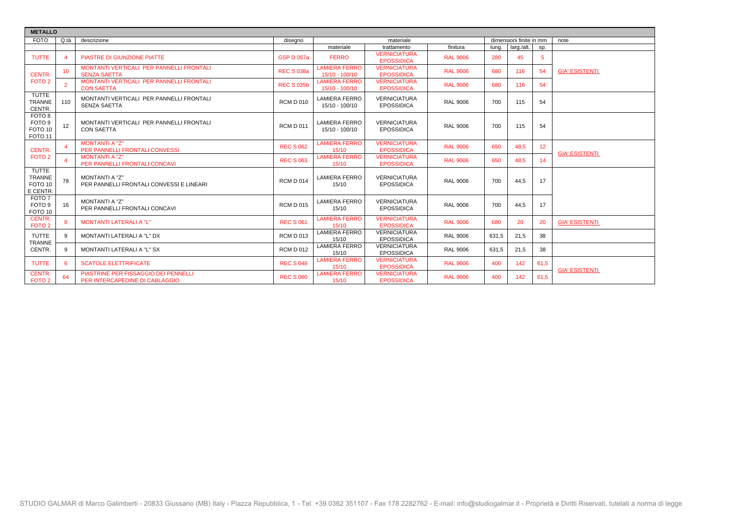| <b>METALLO</b>                                                          |                 |                                                                        |                   |                                        |                                          |                 |       |                         |                 |                       |
|-------------------------------------------------------------------------|-----------------|------------------------------------------------------------------------|-------------------|----------------------------------------|------------------------------------------|-----------------|-------|-------------------------|-----------------|-----------------------|
| <b>FOTO</b>                                                             | Q.tà            | descrizione                                                            | disegno           |                                        | materiale                                |                 |       | dimensioni finite in mm |                 | note                  |
|                                                                         |                 |                                                                        |                   | materiale                              | trattamento                              | finitura        | luna. | larg./alt.              | Sp.             |                       |
| <b>TUTTE</b>                                                            |                 | PIASTRE DI GIUNZIONE PIATTE                                            | <b>GSP D 057a</b> | <b>FERRO</b>                           | <b>VERNICIATURA</b><br><b>EPOSSIDICA</b> | <b>RAL 9006</b> | 280   | 45                      | 5               |                       |
| CENTR.                                                                  | 10 <sup>1</sup> | MONTANTI VERTICALI PER PANNELLI FRONTALI<br><b>SENZA SAETTA</b>        | <b>REC S 038a</b> | <b>LAMIERA FERRO</b><br>15/10 - 100/10 | <b>VERNICIATURA</b><br><b>EPOSSIDICA</b> | <b>RAL 9006</b> | 680   | 116                     | 54              | <b>GIA' ESISTENTI</b> |
| FOTO <sub>2</sub>                                                       |                 | MONTANTI VERTICALI PER PANNELLI FRONTALI<br><b>CON SAETTA</b>          | <b>REC S 035b</b> | <b>LAMIERA FERRO</b><br>15/10 - 100/10 | <b>VERNICIATURA</b><br><b>EPOSSIDICA</b> | <b>RAL 9006</b> | 680   | 116                     | 54              |                       |
| TUTTE<br><b>TRANNE</b><br>CENTR.                                        | 110             | MONTANTI VERTICALI PER PANNELLI FRONTALI<br><b>SENZA SAETTA</b>        | <b>RCM D 010</b>  | <b>LAMIERA FERRO</b><br>15/10 - 100/10 | <b>VERNICIATURA</b><br><b>EPOSSIDICA</b> | <b>RAL 9006</b> | 700   | 115                     | 54              |                       |
| FOTO 8<br>FOTO <sub>9</sub><br>FOTO <sub>10</sub><br>FOTO <sub>11</sub> | 12              | MONTANTI VERTICALI PER PANNELLI FRONTALI<br><b>CON SAETTA</b>          | <b>RCM D 011</b>  | <b>LAMIERA FERRO</b><br>15/10 - 100/10 | <b>VERNICIATURA</b><br><b>EPOSSIDICA</b> | <b>RAL 9006</b> | 700   | 115                     | 54              |                       |
| CENTR.                                                                  |                 | <b>MONTANTI A "Z"</b><br><b>PER PANNELLI FRONTALI CONVESSI</b>         | <b>REC S 062</b>  | <b>LAMIERA FERRO</b><br>15/10          | <b>VERNICIATURA</b><br><b>EPOSSIDICA</b> | <b>RAL 9006</b> | 650   | 48.5                    | 12 <sup>°</sup> | <b>GIA' ESISTENTI</b> |
| FOTO <sub>2</sub>                                                       |                 | <b>MONTANTI A "Z"</b><br>PER PANNELLI FRONTALI CONCAVI                 | <b>REC S 063</b>  | <b>LAMIERA FERRO</b><br>15/10          | <b>VERNICIATURA</b><br><b>EPOSSIDICA</b> | <b>RAL 9006</b> | 650   | 48,5                    | 14              |                       |
| <b>TUTTE</b><br><b>TRANNE</b><br>FOTO <sub>10</sub><br>E CENTR.         | 78              | <b>MONTANTI A "Z"</b><br>PER PANNELLI FRONTALI CONVESSI E LINEARI      | <b>RCM D 014</b>  | <b>LAMIERA FERRO</b><br>15/10          | <b>VERNICIATURA</b><br><b>EPOSSIDICA</b> | <b>RAL 9006</b> | 700   | 44.5                    | 17              |                       |
| FOTO 7<br>FOTO 9<br>FOTO 10                                             | 16              | <b>MONTANTI A "Z"</b><br>PER PANNELLI FRONTALI CONCAVI                 | <b>RCM D 015</b>  | <b>LAMIERA FERRO</b><br>15/10          | <b>VERNICIATURA</b><br><b>EPOSSIDICA</b> | <b>RAL 9006</b> | 700   | 44.5                    | 17              |                       |
| <b>CENTR.</b><br>FOTO <sub>2</sub>                                      |                 | <b>MONTANTI LATERALI A "L"</b>                                         | <b>REC S 061</b>  | <b>LAMIERA FERRO</b><br>15/10          | <b>VERNICIATURA</b><br><b>EPOSSIDICA</b> | <b>RAL 9006</b> | 680   | 20                      | 20              | <b>GIA' ESISTENTI</b> |
| <b>TUTTE</b><br><b>TRANNE</b>                                           |                 | MONTANTI LATERALI A "L" DX                                             | <b>RCM D 013</b>  | <b>LAMIERA FERRO</b><br>15/10          | <b>VERNICIATURA</b><br><b>EPOSSIDICA</b> | <b>RAL 9006</b> | 631,5 | 21.5                    | 38              |                       |
| CENTR.                                                                  | 9               | MONTANTI LATERALI A "L" SX                                             | <b>RCM D 012</b>  | <b>LAMIERA FERRO</b><br>15/10          | <b>VERNICIATURA</b><br><b>EPOSSIDICA</b> | <b>RAL 9006</b> | 631,5 | 21,5                    | 38              |                       |
| <b>TUTTE</b>                                                            |                 | <b>SCATOLE ELETTRIFICATE</b>                                           | <b>REC S 048</b>  | <b>LAMIERA FERRO</b><br>15/10          | <b>VERNICIATURA</b><br><b>EPOSSIDICA</b> | <b>RAL 9006</b> | 400   | 142                     | 61,5            | <b>GIA' ESISTENTI</b> |
| CENTR.<br>FOTO <sub>2</sub>                                             | 64              | PIASTRINE PER FISSAGGIO DEI PENNELLI<br>PER INTERCAPEDINE DI CABLAGGIO | <b>REC S 060</b>  | <b>LAMIERA FERRO</b><br>15/10          | <b>VERNICIATURA</b><br><b>EPOSSIDICA</b> | <b>RAL 9006</b> | 400   | 142                     | 61,5            |                       |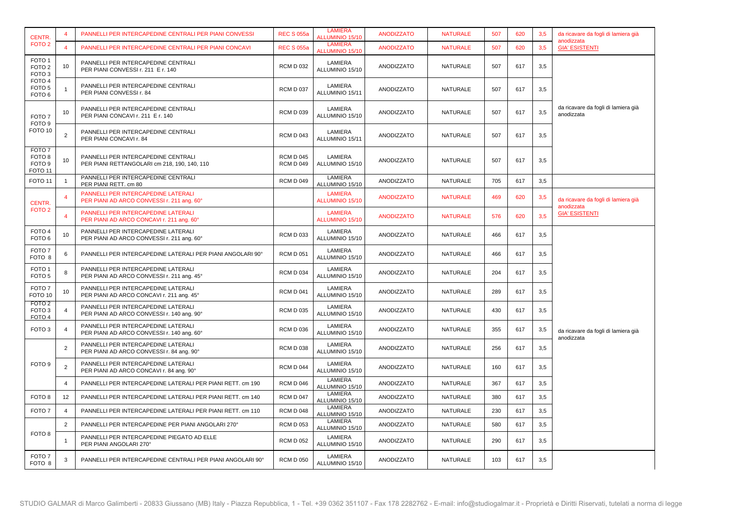| CENTR.                                                                            |                  | PANNELLI PER INTERCAPEDINE CENTRALI PER PIANI CONVESSI                              | <b>REC S 055a</b>                    | <b>LAMIERA</b><br><b>ALLUMINIO 15/10</b> | <b>ANODIZZATO</b> | <b>NATURALE</b> | 507 | 620 | 3,5 | da ricavare da fogli di lamiera già<br>anodizzata |
|-----------------------------------------------------------------------------------|------------------|-------------------------------------------------------------------------------------|--------------------------------------|------------------------------------------|-------------------|-----------------|-----|-----|-----|---------------------------------------------------|
| FOTO <sub>2</sub>                                                                 | $\Delta$         | PANNELLI PER INTERCAPEDINE CENTRALI PER PIANI CONCAVI                               | <b>REC S 055a</b>                    | <b>LAMIERA</b><br>ALLUMINIO 15/10        | <b>ANODIZZATO</b> | <b>NATURALE</b> | 507 | 620 | 3,5 | <b>GIA' ESISTENTI</b>                             |
| FOTO <sub>1</sub><br>FOTO <sub>2</sub><br>FOTO <sub>3</sub>                       | 10               | PANNELLI PER INTERCAPEDINE CENTRALI<br>PER PIANI CONVESSI r. 211 E r. 140           | <b>RCM D 032</b>                     | LAMIERA<br>ALLUMINIO 15/10               | ANODIZZATO        | NATURALE        | 507 | 617 | 3,5 |                                                   |
| FOTO <sub>4</sub><br>FOTO <sub>5</sub><br>FOTO <sub>6</sub>                       |                  | PANNELLI PER INTERCAPEDINE CENTRALI<br>PER PIANI CONVESSI r. 84                     | <b>RCM D 037</b>                     | LAMIERA<br>ALLUMINIO 15/11               | ANODIZZATO        | <b>NATURALE</b> | 507 | 617 | 3,5 |                                                   |
| FOTO <sub>7</sub><br>FOTO <sub>9</sub>                                            | 10               | PANNELLI PER INTERCAPEDINE CENTRALI<br>PER PIANI CONCAVI r. 211 E r. 140            | <b>RCM D 039</b>                     | LAMIERA<br>ALLUMINIO 15/10               | ANODIZZATO        | NATURALE        | 507 | 617 | 3,5 | da ricavare da fogli di lamiera già<br>anodizzata |
| FOTO <sub>10</sub>                                                                | $\overline{2}$   | PANNELLI PER INTERCAPEDINE CENTRALI<br>PER PIANI CONCAVI r. 84                      | <b>RCM D 043</b>                     | LAMIERA<br>ALLUMINIO 15/11               | ANODIZZATO        | NATURALE        | 507 | 617 | 3,5 |                                                   |
| FOTO <sub>7</sub><br>FOTO <sub>8</sub><br>FOTO <sub>9</sub><br>FOTO <sub>11</sub> | 10               | PANNELLI PER INTERCAPEDINE CENTRALI<br>PER PIANI RETTANGOLARI cm 218, 190, 140, 110 | <b>RCM D 045</b><br><b>RCM D 049</b> | LAMIERA<br>ALLUMINIO 15/10               | ANODIZZATO        | <b>NATURALE</b> | 507 | 617 | 3,5 |                                                   |
| FOTO <sub>11</sub>                                                                | $\mathbf{1}$     | PANNELLI PER INTERCAPEDINE CENTRALI<br>PER PIANI RETT. cm 80                        | <b>RCM D 049</b>                     | LAMIERA<br>ALLUMINIO 15/10               | ANODIZZATO        | <b>NATURALE</b> | 705 | 617 | 3,5 |                                                   |
| CENTR.                                                                            |                  | PANNELLI PER INTERCAPEDINE LATERALI<br>PER PIANI AD ARCO CONVESSI r. 211 ang. 60°   |                                      | <b>LAMIERA</b><br>ALLUMINIO 15/10        | <b>ANODIZZATO</b> | <b>NATURALE</b> | 469 | 620 | 3,5 | da ricavare da fogli di lamiera già               |
| FOTO <sub>2</sub>                                                                 | $\boldsymbol{4}$ | PANNELLI PER INTERCAPEDINE LATERALI<br>PER PIANI AD ARCO CONCAVI r. 211 ang. 60°    |                                      | <b>LAMIERA</b><br><b>ALLUMINIO 15/10</b> | <b>ANODIZZATO</b> | <b>NATURALE</b> | 576 | 620 | 3.5 | anodizzata<br><b>GIA' ESISTENTI</b>               |
| FOTO 4<br>FOTO <sub>6</sub>                                                       | 10               | PANNELLI PER INTERCAPEDINE LATERALI<br>PER PIANI AD ARCO CONVESSI r. 211 ang. 60°   | <b>RCM D 033</b>                     | LAMIERA<br>ALLUMINIO 15/10               | ANODIZZATO        | <b>NATURALE</b> | 466 | 617 | 3,5 |                                                   |
| FOTO <sub>7</sub><br>FOTO 8                                                       | 6                | PANNELLI PER INTERCAPEDINE LATERALI PER PIANI ANGOLARI 90°                          | <b>RCM D 051</b>                     | LAMIERA<br>ALLUMINIO 15/10               | ANODIZZATO        | <b>NATURALE</b> | 466 | 617 | 3,5 |                                                   |
| FOTO <sub>1</sub><br>FOTO <sub>5</sub>                                            | 8                | PANNELLI PER INTERCAPEDINE LATERALI<br>PER PIANI AD ARCO CONVESSI r. 211 ang. 45°   | <b>RCM D 034</b>                     | LAMIERA<br>ALLUMINIO 15/10               | ANODIZZATO        | <b>NATURALE</b> | 204 | 617 | 3,5 |                                                   |
| FOTO <sub>7</sub><br>FOTO <sub>10</sub>                                           | 10               | PANNELLI PER INTERCAPEDINE LATERALI<br>PER PIANI AD ARCO CONCAVI r. 211 ang. 45°    | <b>RCM D 041</b>                     | LAMIERA<br>ALLUMINIO 15/10               | ANODIZZATO        | <b>NATURALE</b> | 289 | 617 | 3,5 |                                                   |
| FOTO <sub>2</sub><br>FOTO <sub>3</sub><br>FOTO <sub>4</sub>                       | 4                | PANNELLI PER INTERCAPEDINE LATERALI<br>PER PIANI AD ARCO CONVESSI r. 140 ang. 90°   | <b>RCM D 035</b>                     | LAMIERA<br>ALLUMINIO 15/10               | ANODIZZATO        | <b>NATURALE</b> | 430 | 617 | 3,5 |                                                   |
| FOTO <sub>3</sub>                                                                 | $\overline{4}$   | PANNELLI PER INTERCAPEDINE LATERALI<br>PER PIANI AD ARCO CONVESSI r. 140 ang. 60°   | <b>RCM D 036</b>                     | LAMIERA<br>ALLUMINIO 15/10               | ANODIZZATO        | NATURALE        | 355 | 617 | 3,5 | da ricavare da fogli di lamiera già<br>anodizzata |
|                                                                                   | 2                | PANNELLI PER INTERCAPEDINE LATERALI<br>PER PIANI AD ARCO CONVESSI r. 84 ang. 90°    | <b>RCM D 038</b>                     | LAMIERA<br>ALLUMINIO 15/10               | ANODIZZATO        | NATURALE        | 256 | 617 | 3,5 |                                                   |
| FOTO <sub>9</sub>                                                                 | $\overline{2}$   | PANNELLI PER INTERCAPEDINE LATERALI<br>PER PIANI AD ARCO CONCAVI r. 84 ang. 90°     | <b>RCM D 044</b>                     | LAMIERA<br>ALLUMINIO 15/10               | ANODIZZATO        | <b>NATURALE</b> | 160 | 617 | 3,5 |                                                   |
|                                                                                   | $\overline{4}$   | PANNELLI PER INTERCAPEDINE LATERALI PER PIANI RETT, cm 190                          | <b>RCM D 046</b>                     | <b>LAMIERA</b><br>ALLUMINIO 15/10        | ANODIZZATO        | <b>NATURALE</b> | 367 | 617 | 3,5 |                                                   |
| FOTO <sub>8</sub>                                                                 | 12               | PANNELLI PER INTERCAPEDINE LATERALI PER PIANI RETT. cm 140                          | <b>RCM D 047</b>                     | <b>LAMIERA</b><br>ALLUMINIO 15/10        | ANODIZZATO        | <b>NATURALE</b> | 380 | 617 | 3,5 |                                                   |
| FOTO <sub>7</sub>                                                                 | 4                | PANNELLI PER INTERCAPEDINE LATERALI PER PIANI RETT. cm 110                          | <b>RCM D 048</b>                     | LAMIERA<br>ALLUMINIO 15/10               | ANODIZZATO        | NATURALE        | 230 | 617 | 3,5 |                                                   |
|                                                                                   | 2                | PANNELLI PER INTERCAPEDINE PER PIANI ANGOLARI 270°                                  | <b>RCM D 053</b>                     | LAMIERA<br>ALLUMINIO 15/10               | ANODIZZATO        | <b>NATURALE</b> | 580 | 617 | 3,5 |                                                   |
| FOTO 8                                                                            | -1               | PANNELLI PER INTERCAPEDINE PIEGATO AD ELLE<br>PER PIANI ANGOLARI 270°               | <b>RCM D 052</b>                     | LAMIERA<br>ALLUMINIO 15/10               | ANODIZZATO        | NATURALE        | 290 | 617 | 3,5 |                                                   |
| FOTO 7<br>FOTO 8                                                                  | 3                | PANNELLI PER INTERCAPEDINE CENTRALI PER PIANI ANGOLARI 90°                          | <b>RCM D 050</b>                     | LAMIERA<br>ALLUMINIO 15/10               | ANODIZZATO        | NATURALE        | 103 | 617 | 3,5 |                                                   |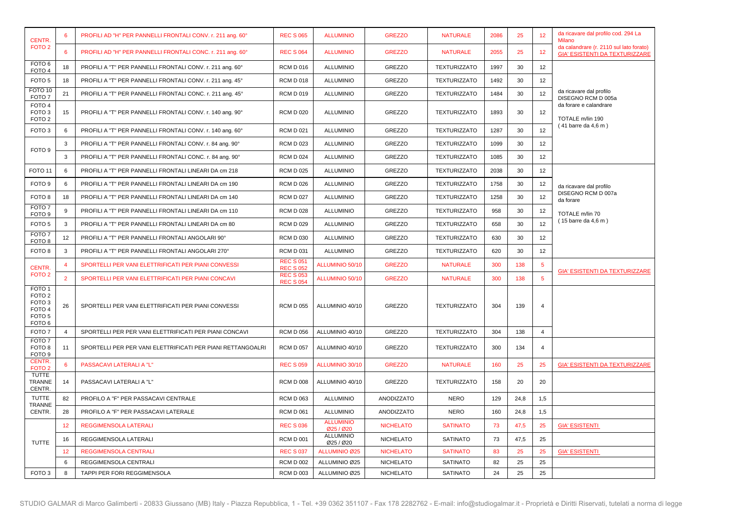| <b>CENTR.</b>                                                                                                   |                 | PROFILI AD "H" PER PANNELLI FRONTALI CONV. r. 211 ang. 60°  | <b>REC S 065</b>                     | <b>ALLUMINIO</b>              | <b>GREZZO</b>    | <b>NATURALE</b>     | 2086 | 25   | 12              | da ricavare dal profilo cod. 294 La<br><b>Milano</b>                             |
|-----------------------------------------------------------------------------------------------------------------|-----------------|-------------------------------------------------------------|--------------------------------------|-------------------------------|------------------|---------------------|------|------|-----------------|----------------------------------------------------------------------------------|
| FOTO <sub>2</sub>                                                                                               | 6               | PROFILI AD "H" PER PANNELLI FRONTALI CONC. r. 211 ang. 60°  | <b>REC S 064</b>                     | <b>ALLUMINIO</b>              | <b>GREZZO</b>    | <b>NATURALE</b>     | 2055 | 25   | 12              | da calandrare (r. 2110 sul lato forato)<br><b>GIA' ESISTENTI DA TEXTURIZZARE</b> |
| FOTO <sub>6</sub><br>FOTO <sub>4</sub>                                                                          | 18              | PROFILI A "T" PER PANNELLI FRONTALI CONV. r. 211 ang. 60°   | <b>RCM D 016</b>                     | <b>ALLUMINIO</b>              | <b>GREZZO</b>    | <b>TEXTURIZZATO</b> | 1997 | 30   | 12              |                                                                                  |
| FOTO <sub>5</sub>                                                                                               | 18              | PROFILI A "T" PER PANNELLI FRONTALI CONV. r. 211 ang. 45°   | <b>RCM D 018</b>                     | <b>ALLUMINIO</b>              | GREZZO           | <b>TEXTURIZZATO</b> | 1492 | 30   | 12              |                                                                                  |
| FOTO <sub>10</sub><br>FOTO 7                                                                                    | 21              | PROFILI A "T" PER PANNELLI FRONTALI CONC. r. 211 ang. 45°   | <b>RCM D 019</b>                     | <b>ALLUMINIO</b>              | <b>GREZZO</b>    | <b>TEXTURIZZATO</b> | 1484 | 30   | 12              | da ricavare dal profilo<br>DISEGNO RCM D 005a                                    |
| FOTO <sub>4</sub><br>FOTO <sub>3</sub><br>FOTO <sub>2</sub>                                                     | 15              | PROFILI A "T" PER PANNELLI FRONTALI CONV. r. 140 ang. 90°   | <b>RCM D 020</b>                     | <b>ALLUMINIO</b>              | <b>GREZZO</b>    | <b>TEXTURIZZATO</b> | 1893 | 30   | 12              | da forare e calandrare<br>TOTALE m/lin 190                                       |
| FOTO <sub>3</sub>                                                                                               | 6               | PROFILI A "T" PER PANNELLI FRONTALI CONV. r. 140 ang. 60°   | <b>RCM D 021</b>                     | <b>ALLUMINIO</b>              | <b>GREZZO</b>    | <b>TEXTURIZZATO</b> | 1287 | 30   | 12              | (41 barre da 4,6 m)                                                              |
|                                                                                                                 | 3               | PROFILI A "T" PER PANNELLI FRONTALI CONV. r. 84 ang. 90°    | <b>RCM D 023</b>                     | <b>ALLUMINIO</b>              | <b>GREZZO</b>    | TEXTURIZZATO        | 1099 | 30   | 12              |                                                                                  |
| FOTO <sub>9</sub>                                                                                               | 3               | PROFILI A "T" PER PANNELLI FRONTALI CONC. r. 84 ang. 90°    | <b>RCM D 024</b>                     | <b>ALLUMINIO</b>              | <b>GREZZO</b>    | <b>TEXTURIZZATO</b> | 1085 | 30   | 12              |                                                                                  |
| FOTO <sub>11</sub>                                                                                              | 6               | PROFILI A "T" PER PANNELLI FRONTALI LINEARI DA cm 218       | <b>RCM D 025</b>                     | <b>ALLUMINIO</b>              | <b>GREZZO</b>    | <b>TEXTURIZZATO</b> | 2038 | 30   | 12              |                                                                                  |
| FOTO 9                                                                                                          | 6               | PROFILI A "T" PER PANNELLI FRONTALI LINEARI DA cm 190       | <b>RCM D 026</b>                     | <b>ALLUMINIO</b>              | <b>GREZZO</b>    | <b>TEXTURIZZATO</b> | 1758 | 30   | 12              | da ricavare dal profilo                                                          |
| FOTO <sub>8</sub>                                                                                               | 18              | PROFILI A "T" PER PANNELLI FRONTALI LINEARI DA cm 140       | <b>RCM D 027</b>                     | <b>ALLUMINIO</b>              | <b>GREZZO</b>    | <b>TEXTURIZZATO</b> | 1258 | 30   | 12              | DISEGNO RCM D 007a<br>da forare                                                  |
| FOTO <sub>7</sub><br>FOTO 9                                                                                     | 9               | PROFILI A "T" PER PANNELLI FRONTALI LINEARI DA cm 110       | <b>RCM D 028</b>                     | <b>ALLUMINIO</b>              | GREZZO           | TEXTURIZZATO        | 958  | 30   | 12              | TOTALE m/lin 70                                                                  |
| FOTO <sub>5</sub>                                                                                               | 3               | PROFILI A "T" PER PANNELLI FRONTALI LINEARI DA cm 80        | <b>RCM D 029</b>                     | <b>ALLUMINIO</b>              | <b>GREZZO</b>    | <b>TEXTURIZZATO</b> | 658  | 30   | 12              | (15 barre da 4,6 m)                                                              |
| FOTO <sub>7</sub><br>FOTO <sub>8</sub>                                                                          | 12              | PROFILI A "T" PER PANNELLI FRONTALI ANGOLARI 90°            | <b>RCM D 030</b>                     | <b>ALLUMINIO</b>              | GREZZO           | TEXTURIZZATO        | 630  | 30   | 12              |                                                                                  |
| FOTO <sub>8</sub>                                                                                               | 3               | PROFILI A "T" PER PANNELLI FRONTALI ANGOLARI 270°           | <b>RCM D 031</b>                     | <b>ALLUMINIO</b>              | GREZZO           | <b>TEXTURIZZATO</b> | 620  | 30   | 12              |                                                                                  |
| <b>CENTR</b>                                                                                                    | 4               | SPORTELLI PER VANI ELETTRIFICATI PER PIANI CONVESSI         | <b>REC S 051</b><br><b>REC S 052</b> | ALLUMINIO 50/10               | <b>GREZZO</b>    | <b>NATURALE</b>     | 300  | 138  | $5\phantom{1}$  |                                                                                  |
| FOTO <sub>2</sub>                                                                                               | $\overline{2}$  | SPORTELLI PER VANI ELETTRIFICATI PER PIANI CONCAVI          | <b>REC S 053</b><br><b>REC S 054</b> | ALLUMINIO 50/10               | <b>GREZZO</b>    | <b>NATURALE</b>     | 300  | 138  | $5\overline{5}$ | <b>GIA' ESISTENTI DA TEXTURIZZARE</b>                                            |
| FOTO <sub>1</sub><br>FOTO <sub>2</sub><br>FOTO <sub>3</sub><br>FOTO <sub>4</sub><br>FOTO <sub>5</sub><br>FOTO 6 | 26              | SPORTELLI PER VANI ELETTRIFICATI PER PIANI CONVESSI         | <b>RCM D 055</b>                     | ALLUMINIO 40/10               | <b>GREZZO</b>    | <b>TEXTURIZZATO</b> | 304  | 139  | $\overline{4}$  |                                                                                  |
| FOTO <sub>7</sub>                                                                                               | 4               | SPORTELLI PER PER VANI ELETTRIFICATI PER PIANI CONCAVI      | <b>RCM D 056</b>                     | ALLUMINIO 40/10               | <b>GREZZO</b>    | <b>TEXTURIZZATO</b> | 304  | 138  | $\overline{4}$  |                                                                                  |
| FOTO <sub>7</sub><br>FOTO 8<br>FOTO <sub>9</sub>                                                                | 11              | SPORTELLI PER PER VANI ELETTRIFICATI PER PIANI RETTANGOALRI | <b>RCM D 057</b>                     | ALLUMINIO 40/10               | <b>GREZZO</b>    | <b>TEXTURIZZATO</b> | 300  | 134  | 4               |                                                                                  |
| <b>CENTR.</b><br>FOTO <sub>2</sub>                                                                              | 6               | PASSACAVI LATERALI A "L"                                    | <b>REC S 059</b>                     | ALLUMINIO 30/10               | <b>GREZZO</b>    | <b>NATURALE</b>     | 160  | 25   | 25              | <b>GIA' ESISTENTI DA TEXTURIZZARE</b>                                            |
| <b>TUTTE</b><br>TRANNE<br>CENTR.                                                                                | 14              | PASSACAVI LATERALI A "L"                                    | <b>RCM D 008</b>                     | ALLUMINIO 40/10               | <b>GREZZO</b>    | <b>TEXTURIZZATO</b> | 158  | 20   | 20              |                                                                                  |
| <b>TUTTE</b><br><b>TRANNE</b>                                                                                   | 82              | PROFILO A "F" PER PASSACAVI CENTRALE                        | <b>RCM D 063</b>                     | <b>ALLUMINIO</b>              | ANODIZZATO       | <b>NERO</b>         | 129  | 24,8 | 1,5             |                                                                                  |
| CENTR.                                                                                                          | 28              | PROFILO A "F" PER PASSACAVI LATERALE                        | <b>RCM D 061</b>                     | <b>ALLUMINIO</b>              | ANODIZZATO       | <b>NERO</b>         | 160  | 24,8 | 1,5             |                                                                                  |
|                                                                                                                 | 12              | REGGIMENSOLA LATERALI                                       | <b>REC S 036</b>                     | <b>ALLUMINIO</b><br>Ø25 / Ø20 | <b>NICHELATO</b> | <b>SATINATO</b>     | 73   | 47,5 | 25              | <b>GIA' ESISTENTI</b>                                                            |
| <b>TUTTE</b>                                                                                                    | 16              | REGGIMENSOLA LATERALI                                       | <b>RCM D 001</b>                     | <b>ALLUMINIO</b><br>Ø25 / Ø20 | <b>NICHELATO</b> | <b>SATINATO</b>     | 73   | 47,5 | 25              |                                                                                  |
|                                                                                                                 | 12 <sup>°</sup> | <b>REGGIMENSOLA CENTRALI</b>                                | <b>REC S 037</b>                     | <b>ALLUMINIO Ø25</b>          | <b>NICHELATO</b> | <b>SATINATO</b>     | 83   | 25   | 25              | <b>GIA' ESISTENTI</b>                                                            |
|                                                                                                                 | 6               | REGGIMENSOLA CENTRALI                                       | <b>RCM D 002</b>                     | ALLUMINIO Ø25                 | <b>NICHELATO</b> | <b>SATINATO</b>     | 82   | 25   | 25              |                                                                                  |
| FOTO <sub>3</sub>                                                                                               | 8               | TAPPI PER FORI REGGIMENSOLA                                 | <b>RCM D 003</b>                     | ALLUMINIO Ø25                 | <b>NICHELATO</b> | <b>SATINATO</b>     | 24   | 25   | 25              |                                                                                  |